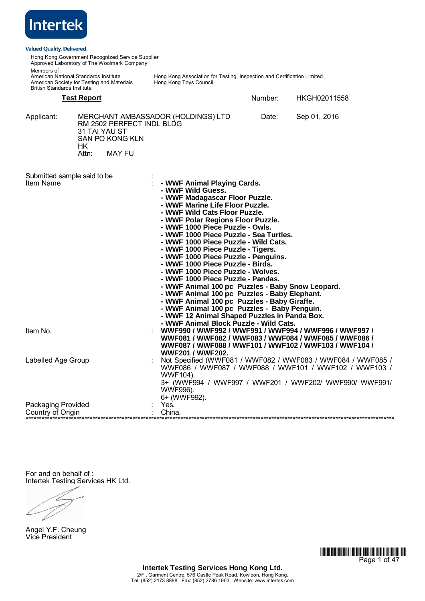| <b>Intertek</b>                                                                                                                          |                     |                                                  |                                                                                                                                                                                                                                                                                                                                                                                                                                                                                                                                                                                                                                                                                                                                                              |         |                                                                                                                                                                                |
|------------------------------------------------------------------------------------------------------------------------------------------|---------------------|--------------------------------------------------|--------------------------------------------------------------------------------------------------------------------------------------------------------------------------------------------------------------------------------------------------------------------------------------------------------------------------------------------------------------------------------------------------------------------------------------------------------------------------------------------------------------------------------------------------------------------------------------------------------------------------------------------------------------------------------------------------------------------------------------------------------------|---------|--------------------------------------------------------------------------------------------------------------------------------------------------------------------------------|
| <b>Valued Quality. Delivered.</b>                                                                                                        |                     |                                                  |                                                                                                                                                                                                                                                                                                                                                                                                                                                                                                                                                                                                                                                                                                                                                              |         |                                                                                                                                                                                |
| Approved Laboratory of The Woolmark Company                                                                                              |                     | Hong Kong Government Recognized Service Supplier |                                                                                                                                                                                                                                                                                                                                                                                                                                                                                                                                                                                                                                                                                                                                                              |         |                                                                                                                                                                                |
| Members of:<br>American National Standards Institute<br>American Society for Testing and Materials<br><b>British Standards Institute</b> |                     |                                                  | Hong Kong Association for Testing, Inspection and Certification Limited<br>Hong Kong Toys Council                                                                                                                                                                                                                                                                                                                                                                                                                                                                                                                                                                                                                                                            |         |                                                                                                                                                                                |
|                                                                                                                                          | <b>Test Report</b>  |                                                  |                                                                                                                                                                                                                                                                                                                                                                                                                                                                                                                                                                                                                                                                                                                                                              | Number: | HKGH02011558                                                                                                                                                                   |
| Applicant:                                                                                                                               | 31 TAI YAU ST<br>HK | RM 2502 PERFECT INDL BLDG<br>SAN PO KONG KLN     | MERCHANT AMBASSADOR (HOLDINGS) LTD                                                                                                                                                                                                                                                                                                                                                                                                                                                                                                                                                                                                                                                                                                                           | Date:   | Sep 01, 2016                                                                                                                                                                   |
|                                                                                                                                          | Attn:               | MAY FU                                           |                                                                                                                                                                                                                                                                                                                                                                                                                                                                                                                                                                                                                                                                                                                                                              |         |                                                                                                                                                                                |
| Submitted sample said to be<br>Item Name                                                                                                 |                     |                                                  | - WWF Animal Playing Cards.<br>- WWF Wild Guess.<br>- WWF Madagascar Floor Puzzle.<br>- WWF Marine Life Floor Puzzle.<br>- WWF Wild Cats Floor Puzzle.<br>- WWF Polar Regions Floor Puzzle.<br>- WWF 1000 Piece Puzzle - Owls.<br>- WWF 1000 Piece Puzzle - Sea Turtles.<br>- WWF 1000 Piece Puzzle - Wild Cats.<br>- WWF 1000 Piece Puzzle - Tigers.<br>- WWF 1000 Piece Puzzle - Penguins.<br>- WWF 1000 Piece Puzzle - Birds.<br>- WWF 1000 Piece Puzzle - Wolves.<br>- WWF 1000 Piece Puzzle - Pandas.<br>- WWF Animal 100 pc Puzzles - Baby Snow Leopard.<br>- WWF Animal 100 pc Puzzles - Baby Elephant.<br>- WWF Animal 100 pc Puzzles - Baby Giraffe.<br>- WWF Animal 100 pc Puzzles - Baby Penguin.<br>- WWF 12 Animal Shaped Puzzles in Panda Box. |         |                                                                                                                                                                                |
| Item No.                                                                                                                                 |                     |                                                  | - WWF Animal Block Puzzle - Wild Cats.                                                                                                                                                                                                                                                                                                                                                                                                                                                                                                                                                                                                                                                                                                                       |         | WWF990 / WWF992 / WWF991 / WWF994 / WWF996 / WWF997 /<br>WWF081 / WWF082 / WWF083 / WWF084 / WWF085 / WWF086 /<br>WWF087 / WWF088 / WWF101 / WWF102 / WWF103 / WWF104 /        |
| Labelled Age Group                                                                                                                       |                     |                                                  | <b>WWF201 / WWF202.</b><br>WWF104).<br><b>WWF996).</b>                                                                                                                                                                                                                                                                                                                                                                                                                                                                                                                                                                                                                                                                                                       |         | Not Specified (WWF081 / WWF082 / WWF083 / WWF084 / WWF085 /<br>WWF086 / WWF087 / WWF088 / WWF101 / WWF102 / WWF103 /<br>3+ (WWF994 / WWF997 / WWF201 / WWF202/ WWF990/ WWF991/ |
| <b>Packaging Provided</b><br>Country of Origin                                                                                           |                     |                                                  | 6+ (WWF992).<br>Yes.<br>China.                                                                                                                                                                                                                                                                                                                                                                                                                                                                                                                                                                                                                                                                                                                               |         |                                                                                                                                                                                |

For and on behalf of : Intertek Testing Services HK Ltd.

 $\angle$  $\angle$ 

Angel Y.F. Cheung Vice President

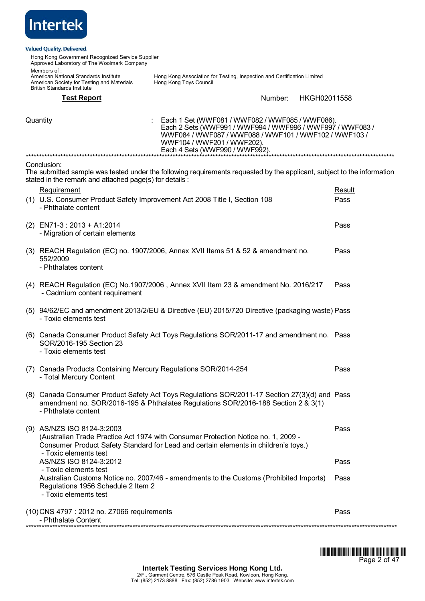

Hong Kong Government Recognized Service Supplier Approved Laboratory of The Woolmark Company Members of :<br>American National Standards Institute Hong Kong Association for Testing, Inspection and Certification Limited<br>Hong Kong Toys Council American Society for Testing and Materials British Standards Institute **Test Report** Number: HKGH02011558 Quantity : Each 1 Set (WWF081 / WWF082 / WWF085 / WWF086). Each 2 Sets (WWF991 / WWF994 / WWF996 / WWF997 / WWF083 / WWF084 / WWF087 / WWF088 / WWF101 / WWF102 / WWF103 / WWF104 / WWF201 / WWF202). Each 4 Sets (WWF990 / WWF992). \*\*\*\*\*\*\*\*\*\*\*\*\*\*\*\*\*\*\*\*\*\*\*\*\*\*\*\*\*\*\*\*\*\*\*\*\*\*\*\*\*\*\*\*\*\*\*\*\*\*\*\*\*\*\*\*\*\*\*\*\*\*\*\*\*\*\*\*\*\*\*\*\*\*\*\*\*\*\*\*\*\*\*\*\*\*\*\*\*\*\*\*\*\*\*\*\*\*\*\*\*\*\*\*\*\*\*\*\*\*\*\*\*\*\*\*\*\*\*\*\*\*\*\*\*\*\*\*\*\*\*\*\*\*\*\*\*\* Conclusion: The submitted sample was tested under the following requirements requested by the applicant, subject to the information stated in the remark and attached page(s) for details : Requirement **Result** (1) U.S. Consumer Product Safety Improvement Act 2008 Title I, Section 108 - Phthalate content Pass (2) EN71-3 : 2013 + A1:2014 - Migration of certain elements Pass (3) REACH Regulation (EC) no. 1907/2006, Annex XVII Items 51 & 52 & amendment no. 552/2009 - Phthalates content Pass (4) REACH Regulation (EC) No.1907/2006 , Annex XVII Item 23 & amendment No. 2016/217 - Cadmium content requirement Pass (5) 94/62/EC and amendment 2013/2/EU & Directive (EU) 2015/720 Directive (packaging waste) Pass - Toxic elements test (6) Canada Consumer Product Safety Act Toys Regulations SOR/2011-17 and amendment no. Pass SOR/2016-195 Section 23 - Toxic elements test (7) Canada Products Containing Mercury Regulations SOR/2014-254 - Total Mercury Content Pass (8) Canada Consumer Product Safety Act Toys Regulations SOR/2011-17 Section 27(3)(d) and Pass amendment no. SOR/2016-195 & Phthalates Regulations SOR/2016-188 Section 2 & 3(1) - Phthalate content (9) AS/NZS ISO 8124-3:2003 (Australian Trade Practice Act 1974 with Consumer Protection Notice no. 1, 2009 - Consumer Product Safety Standard for Lead and certain elements in childrenís toys.) - Toxic elements test Pass AS/NZS ISO 8124-3:2012 - Toxic elements test Pass Australian Customs Notice no. 2007/46 - amendments to the Customs (Prohibited Imports) Regulations 1956 Schedule 2 Item 2 - Toxic elements test Pass (10)CNS 4797 : 2012 no. Z7066 requirements - Phthalate Content Pass



\*\*\*\*\*\*\*\*\*\*\*\*\*\*\*\*\*\*\*\*\*\*\*\*\*\*\*\*\*\*\*\*\*\*\*\*\*\*\*\*\*\*\*\*\*\*\*\*\*\*\*\*\*\*\*\*\*\*\*\*\*\*\*\*\*\*\*\*\*\*\*\*\*\*\*\*\*\*\*\*\*\*\*\*\*\*\*\*\*\*\*\*\*\*\*\*\*\*\*\*\*\*\*\*\*\*\*\*\*\*\*\*\*\*\*\*\*\*\*\*\*\*\*\*\*\*\*\*\*\*\*\*\*\*\*\*\*\*\*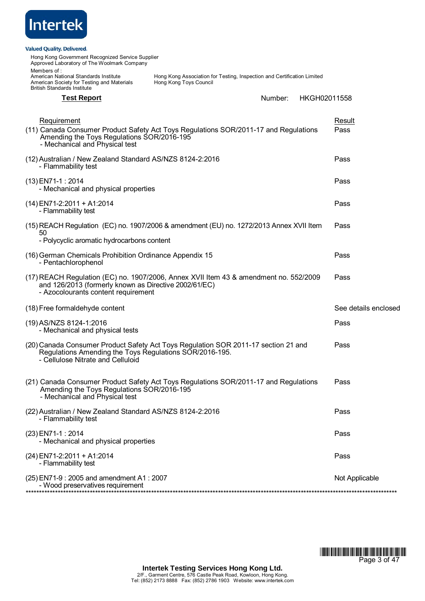| <u>Intertek</u>                                                                                                                           |                                                                                                   |              |                       |
|-------------------------------------------------------------------------------------------------------------------------------------------|---------------------------------------------------------------------------------------------------|--------------|-----------------------|
| <b>Valued Quality. Delivered.</b><br>Hong Kong Government Recognized Service Supplier<br>Approved Laboratory of The Woolmark Company      |                                                                                                   |              |                       |
| Members of :<br>American National Standards Institute<br>American Society for Testing and Materials<br><b>British Standards Institute</b> | Hong Kong Association for Testing, Inspection and Certification Limited<br>Hong Kong Toys Council |              |                       |
| <b>Test Report</b>                                                                                                                        | Number:                                                                                           | HKGH02011558 |                       |
| <b>Requirement</b><br>Amending the Toys Regulations SOR/2016-195<br>- Mechanical and Physical test                                        | (11) Canada Consumer Product Safety Act Toys Regulations SOR/2011-17 and Regulations              |              | <u>Result</u><br>Pass |
| (12) Australian / New Zealand Standard AS/NZS 8124-2:2016<br>- Flammability test                                                          |                                                                                                   |              | Pass                  |
| (13) EN71-1: 2014<br>- Mechanical and physical properties                                                                                 |                                                                                                   |              | Pass                  |
| (14) EN71-2:2011 + A1:2014<br>- Flammability test                                                                                         |                                                                                                   |              | Pass                  |
| 50                                                                                                                                        | (15) REACH Regulation (EC) no. 1907/2006 & amendment (EU) no. 1272/2013 Annex XVII Item           |              | Pass                  |
| - Polycyclic aromatic hydrocarbons content                                                                                                |                                                                                                   |              |                       |
| (16) German Chemicals Prohibition Ordinance Appendix 15<br>- Pentachlorophenol                                                            |                                                                                                   |              | Pass                  |
| and 126/2013 (formerly known as Directive 2002/61/EC)<br>- Azocolourants content requirement                                              | (17) REACH Regulation (EC) no. 1907/2006, Annex XVII Item 43 & amendment no. 552/2009             |              | Pass                  |
| (18) Free formaldehyde content                                                                                                            |                                                                                                   |              | See details enclosed  |
| (19) AS/NZS 8124-1:2016<br>- Mechanical and physical tests                                                                                |                                                                                                   |              | Pass                  |
| Regulations Amending the Toys Regulations SOR/2016-195.<br>- Cellulose Nitrate and Celluloid                                              | (20) Canada Consumer Product Safety Act Toys Regulation SOR 2011-17 section 21 and                |              | Pass                  |
| Amending the Toys Regulations SOR/2016-195<br>- Mechanical and Physical test                                                              | (21) Canada Consumer Product Safety Act Toys Regulations SOR/2011-17 and Regulations              |              | Pass                  |
| (22) Australian / New Zealand Standard AS/NZS 8124-2:2016<br>- Flammability test                                                          |                                                                                                   |              | Pass                  |
| (23) EN71-1 : 2014<br>- Mechanical and physical properties                                                                                |                                                                                                   |              | Pass                  |
| (24) EN71-2:2011 + A1:2014<br>- Flammability test                                                                                         |                                                                                                   |              | Pass                  |
| (25) EN71-9 : 2005 and amendment A1 : 2007<br>- Wood preservatives requirement                                                            |                                                                                                   |              | Not Applicable        |
|                                                                                                                                           |                                                                                                   |              |                       |

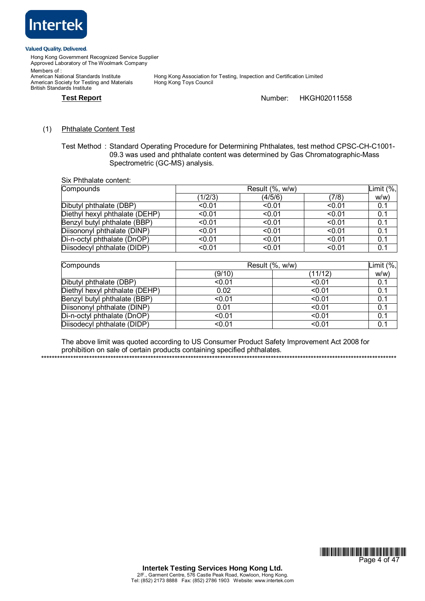

British Standards Institute

Hong Kong Government Recognized Service Supplier Approved Laboratory of The Woolmark Company Members of :<br>American National Standards Institute American Society for Testing and Materials

Hong Kong Association for Testing, Inspection and Certification Limited<br>Hong Kong Toys Council

# **Test Report** Number: HKGH02011558

# (1) Phthalate Content Test

Test Method : Standard Operating Procedure for Determining Phthalates, test method CPSC-CH-C1001- 09.3 was used and phthalate content was determined by Gas Chromatographic-Mass Spectrometric (GC-MS) analysis.

Six Phthalate content:

| Compounds                      |         | Result (%, w/w) |        |      |
|--------------------------------|---------|-----------------|--------|------|
|                                | (1/2/3) | (4/5/6)         | (7/8)  | w/w) |
| Dibutyl phthalate (DBP)        | < 0.01  | < 0.01          | < 0.01 | 0.1  |
| Diethyl hexyl phthalate (DEHP) | < 0.01  | < 0.01          | < 0.01 | 0.1  |
| Benzyl butyl phthalate (BBP)   | < 0.01  | < 0.01          | < 0.01 | 0.1  |
| Diisononyl phthalate (DINP)    | < 0.01  | < 0.01          | < 0.01 | 0.1  |
| Di-n-octyl phthalate (DnOP)    | < 0.01  | < 0.01          | < 0.01 | 0.1  |
| Diisodecyl phthalate (DIDP)    | < 0.01  | < 0.01          | < 0.01 | 0.1  |

| Compounds                      | Limit $(\%$ ,<br>Result (%, w/w) |         |     |
|--------------------------------|----------------------------------|---------|-----|
|                                | (9/10)                           | (11/12) | w/w |
| Dibutyl phthalate (DBP)        | < 0.01                           | < 0.01  | 0.1 |
| Diethyl hexyl phthalate (DEHP) | 0.02                             | < 0.01  | 0.1 |
| Benzyl butyl phthalate (BBP)   | < 0.01                           | < 0.01  | 0.1 |
| Diisononyl phthalate (DINP)    | 0.01                             | < 0.01  | 0.1 |
| Di-n-octyl phthalate (DnOP)    | < 0.01                           | < 0.01  | 0.1 |
| Diisodecyl phthalate (DIDP)    | < 0.01                           | < 0.01  | 0.1 |

The above limit was quoted according to US Consumer Product Safety Improvement Act 2008 for prohibition on sale of certain products containing specified phthalates.

\*\*\*\*\*\*\*\*\*\*\*\*\*\*\*\*\*\*\*\*\*\*\*\*\*\*\*\*\*\*\*\*\*\*\*\*\*\*\*\*\*\*\*\*\*\*\*\*\*\*\*\*\*\*\*\*\*\*\*\*\*\*\*\*\*\*\*\*\*\*\*\*\*\*\*\*\*\*\*\*\*\*\*\*\*\*\*\*\*\*\*\*\*\*\*\*\*\*\*\*\*\*\*\*\*\*\*\*\*\*\*\*\*\*\*\*\*\*\*\*\*\*\*\*\*\*\*\*\*\*\*\*\*

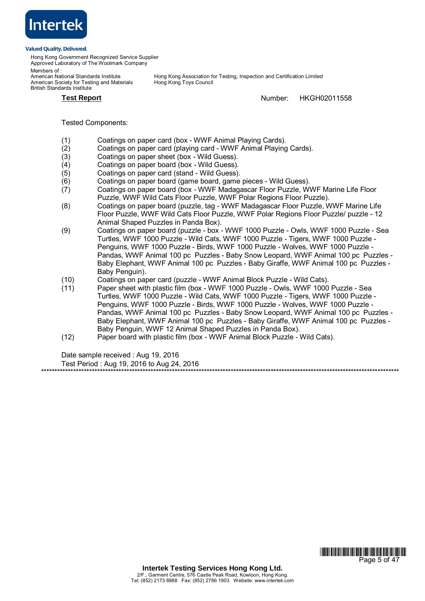

Hong Kong Government Recognized Service Supplier Approved Laboratory of The Woolmark Company

Members of :<br>American National Standards Institute American Society for Testing and Materials British Standards Institute

Hong Kong Association for Testing, Inspection and Certification Limited<br>Hong Kong Toys Council

**Test Report** Number: HKGH02011558

Tested Components:

- (1) Coatings on paper card (box WWF Animal Playing Cards).
- (2) Coatings on paper card (playing card WWF Animal Playing Cards).
- (3) Coatings on paper sheet (box Wild Guess).
- (4) Coatings on paper board (box Wild Guess).
- (5) Coatings on paper card (stand Wild Guess).
- (6) Coatings on paper board (game board, game pieces Wild Guess).
- (7) Coatings on paper board (box WWF Madagascar Floor Puzzle, WWF Marine Life Floor Puzzle, WWF Wild Cats Floor Puzzle, WWF Polar Regions Floor Puzzle).
- (8) Coatings on paper board (puzzle, tag WWF Madagascar Floor Puzzle, WWF Marine Life Floor Puzzle, WWF Wild Cats Floor Puzzle, WWF Polar Regions Floor Puzzle/ puzzle - 12 Animal Shaped Puzzles in Panda Box).
- (9) Coatings on paper board (puzzle box WWF 1000 Puzzle Owls, WWF 1000 Puzzle Sea Turtles, WWF 1000 Puzzle - Wild Cats, WWF 1000 Puzzle - Tigers, WWF 1000 Puzzle - Penguins, WWF 1000 Puzzle - Birds, WWF 1000 Puzzle - Wolves, WWF 1000 Puzzle - Pandas, WWF Animal 100 pc Puzzles - Baby Snow Leopard, WWF Animal 100 pc Puzzles - Baby Elephant, WWF Animal 100 pc Puzzles - Baby Giraffe, WWF Animal 100 pc Puzzles - Baby Penguin).
- (10) Coatings on paper card (puzzle WWF Animal Block Puzzle Wild Cats).
- (11) Paper sheet with plastic film (box WWF 1000 Puzzle Owls, WWF 1000 Puzzle Sea Turtles, WWF 1000 Puzzle - Wild Cats, WWF 1000 Puzzle - Tigers, WWF 1000 Puzzle - Penguins, WWF 1000 Puzzle - Birds, WWF 1000 Puzzle - Wolves, WWF 1000 Puzzle - Pandas, WWF Animal 100 pc Puzzles - Baby Snow Leopard, WWF Animal 100 pc Puzzles - Baby Elephant, WWF Animal 100 pc Puzzles - Baby Giraffe, WWF Animal 100 pc Puzzles - Baby Penguin, WWF 12 Animal Shaped Puzzles in Panda Box).
- (12) Paper board with plastic film (box WWF Animal Block Puzzle Wild Cats).

Date sample received : Aug 19, 2016

Test Period : Aug 19, 2016 to Aug 24, 2016 \*\*\*\*\*\*\*\*\*\*\*\*\*\*\*\*\*\*\*\*\*\*\*\*\*\*\*\*\*\*\*\*\*\*\*\*\*\*\*\*\*\*\*\*\*\*\*\*\*\*\*\*\*\*\*\*\*\*\*\*\*\*\*\*\*\*\*\*\*\*\*\*\*\*\*\*\*\*\*\*\*\*\*\*\*\*\*\*\*\*\*\*\*\*\*\*\*\*\*\*\*\*\*\*\*\*\*\*\*\*\*\*\*\*\*\*\*\*\*\*\*\*\*\*\*\*\*\*\*\*\*\*\*\*

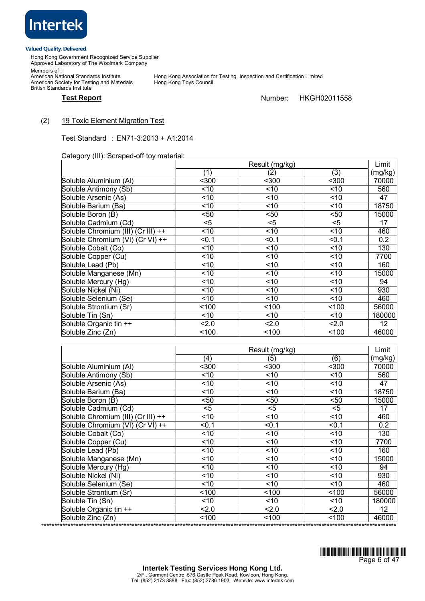

Hong Kong Government Recognized Service Supplier Approved Laboratory of The Woolmark Company Members of :

Members or .<br>American National Standards Institute<br>American Society for Testing and Materials British Standards Institute

Hong Kong Association for Testing, Inspection and Certification Limited<br>Hong Kong Toys Council

# Test Report **Number:** HKGH02011558

# (2) 19 Toxic Element Migration Test

Test Standard : EN71-3:2013 + A1:2014

Category (III): Scraped-off toy material:

|                                    | Result (mg/kg)   |       |       | Limit   |
|------------------------------------|------------------|-------|-------|---------|
|                                    | (1)              | (2)   | (3)   | (mg/kg) |
| Soluble Aluminium (Al)             | $300$            | $300$ | $300$ | 70000   |
| Soluble Antimony (Sb)              | < 10             | ~10   | ~10   | 560     |
| Soluble Arsenic (As)               | ~10              | ~10   | < 10  | 47      |
| Soluble Barium (Ba)                | ~10              | ~10   | ~10   | 18750   |
| Soluble Boron (B)                  | <50              | $50$  | $50$  | 15000   |
| Soluble Cadmium (Cd)               | $<$ 5            | $5$   | $<$ 5 | 17      |
| Soluble Chromium (III) (Cr III) ++ | < 10             | ~10   | ~10   | 460     |
| Soluble Chromium (VI) (Cr VI) ++   | < 0.1            | < 0.1 | < 0.1 | 0.2     |
| Soluble Cobalt (Co)                | ~10              | ~10   | ~10   | 130     |
| Soluble Copper (Cu)                | ~10              | ~10   | ~10   | 7700    |
| Soluble Lead (Pb)                  | < 10             | ~10   | ~10   | 160     |
| Soluble Manganese (Mn)             | ~10              | ~10   | ~10   | 15000   |
| Soluble Mercury (Hg)               | ~10              | ~10   | ~10   | 94      |
| Soluble Nickel (Ni)                | ~10              | ~10   | ~10   | 930     |
| Soluble Selenium (Se)              | ~10              | ~10   | ~10   | 460     |
| Soluble Strontium (Sr)             | 100 <sub>o</sub> | 100   | 100   | 56000   |
| Soluble Tin (Sn)                   | ~10              | ~10   | ~10   | 180000  |
| Soluble Organic tin ++             | 2.0              | 2.0   | 2.0   | 12      |
| Soluble Zinc (Zn)                  | <100             | 100   | 100   | 46000   |

|                                    | Result (mg/kg)   |        | Limit |         |
|------------------------------------|------------------|--------|-------|---------|
|                                    | (4)              | (5)    | (6)   | (mg/kg) |
| Soluble Aluminium (AI)             | $300$            | $300$  | $300$ | 70000   |
| Soluble Antimony (Sb)              | ~10              | <10    | ~10   | 560     |
| Soluble Arsenic (As)               | ~10              | ~10    | ~10   | 47      |
| Soluble Barium (Ba)                | ~10              | ~10    | ~10   | 18750   |
| Soluble Boron (B)                  | $50$             | $50$   | $50$  | 15000   |
| Soluble Cadmium (Cd)               | $<$ 5            | $<$ 5  | $<$ 5 | 17      |
| Soluble Chromium (III) (Cr III) ++ | ~10              | < 10   | < 10  | 460     |
| Soluble Chromium (VI) (Cr VI) ++   | < 0.1            | < 0.1  | < 0.1 | 0.2     |
| Soluble Cobalt (Co)                | ~10              | ~10    | ~10   | 130     |
| Soluble Copper (Cu)                | ~10              | ~10    | ~10   | 7700    |
| Soluble Lead (Pb)                  | < 10             | ~10    | < 10  | 160     |
| Soluble Manganese (Mn)             | ~10              | ~10    | ~10   | 15000   |
| Soluble Mercury (Hg)               | ~10              | ~10    | ~10   | 94      |
| Soluble Nickel (Ni)                | ~10              | ~10    | ~10   | 930     |
| Soluble Selenium (Se)              | ~10              | ~10    | ~10   | 460     |
| Soluble Strontium (Sr)             | 100 <sub>o</sub> | 100    | 100   | 56000   |
| Soluble Tin (Sn)                   | ~10              | $<$ 10 | < 10  | 180000  |
| Soluble Organic tin ++             | 2.0              | 2.0    | 2.0   | 12      |
| Soluble Zinc (Zn)                  | 100              | 100    | 100   | 46000   |

\*\*\*\*\*\*\*\*\*\*\*\*\*\*\*\*\*\*\*\*\*\*\*\*\*\*\*\*\*\*\*\*\*\*\*\*\*\*\*\*\*\*\*\*\*\*\*\*\*\*\*\*\*\*\*\*\*\*\*\*\*\*\*\*\*\*\*\*\*\*\*\*\*\*\*\*\*\*\*\*\*\*\*\*\*\*\*\*\*\*\*\*\*\*\*\*\*\*\*\*\*\*\*\*\*\*\*\*\*\*\*\*\*\*\*\*\*\*\*\*\*\*\*\*\*\*\*\*\*\*\*\*\*

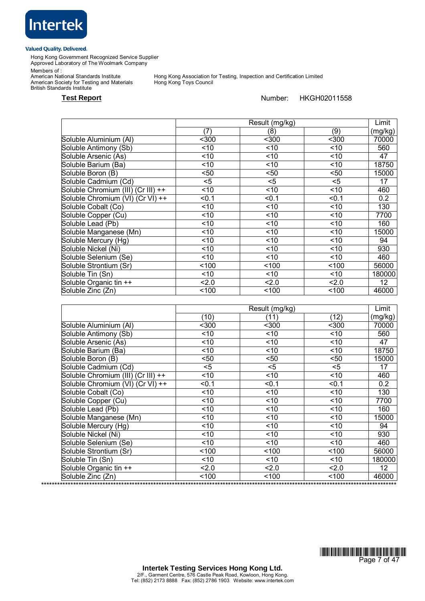

Hong Kong Government Recognized Service Supplier Approved Laboratory of The Woolmark Company

Members of :

American Society for Testing and Materials Hong Kong Toys Council British Standards Institute

Hong Kong Association for Testing, Inspection and Certification Limited<br>Hong Kong Toys Council

# Test Report **Number:** HKGH02011558

|                                    | Result (mg/kg) |       |       | Limit           |
|------------------------------------|----------------|-------|-------|-----------------|
|                                    | (7)            | (8)   | (9)   | (mg/kg)         |
| Soluble Aluminium (AI)             | $300$          | $300$ | $300$ | 70000           |
| Soluble Antimony (Sb)              | ~10            | ~10   | ~10   | 560             |
| Soluble Arsenic (As)               | ~10            | ~10   | ~10   | 47              |
| Soluble Barium (Ba)                | ~10            | ~10   | ~10   | 18750           |
| Soluble Boron (B)                  | $50$           | $50$  | $50$  | 15000           |
| Soluble Cadmium (Cd)               | $<$ 5          | $<$ 5 | $<$ 5 | 17              |
| Soluble Chromium (III) (Cr III) ++ | ~10            | ~10   | ~10   | 460             |
| Soluble Chromium (VI) (Cr VI) ++   | $0.1$          | < 0.1 | < 0.1 | 0.2             |
| Soluble Cobalt (Co)                | ~10            | ~10   | ~10   | 130             |
| Soluble Copper (Cu)                | ~10            | ~10   | ~10   | 7700            |
| Soluble Lead (Pb)                  | ~10            | ~10   | ~10   | 160             |
| Soluble Manganese (Mn)             | ~10            | ~10   | ~10   | 15000           |
| Soluble Mercury (Hg)               | < 10           | ~10   | ~10   | 94              |
| Soluble Nickel (Ni)                | ~10            | ~10   | ~10   | 930             |
| Soluble Selenium (Se)              | ~10            | ~10   | ~10   | 460             |
| Soluble Strontium (Sr)             | 100            | 100   | 100   | 56000           |
| Soluble Tin (Sn)                   | ~10            | ~10   | ~10   | 180000          |
| Soluble Organic tin ++             | 2.0            | 2.0   | 2.0   | 12 <sub>2</sub> |
| Soluble Zinc (Zn)                  | 100            | 100   | 100   | 46000           |

|                                    |       | Result (mg/kg) |       | Limit   |
|------------------------------------|-------|----------------|-------|---------|
|                                    | (10)  | (11)           | (12)  | (mg/kg) |
| Soluble Aluminium (AI)             | $300$ | $300$          | $300$ | 70000   |
| Soluble Antimony (Sb)              | < 10  | < 10           | ~10   | 560     |
| Soluble Arsenic (As)               | ~10   | < 10           | ~10   | 47      |
| Soluble Barium (Ba)                | ~10   | ~10            | ~10   | 18750   |
| Soluble Boron (B)                  | <50   | <50            | $50$  | 15000   |
| Soluble Cadmium (Cd)               | $<$ 5 | $<$ 5          | $<$ 5 | 17      |
| Soluble Chromium (III) (Cr III) ++ | ~10   | < 10           | ~10   | 460     |
| Soluble Chromium (VI) (Cr VI) ++   | < 0.1 | < 0.1          | < 0.1 | 0.2     |
| Soluble Cobalt (Co)                | < 10  | < 10           | ~10   | 130     |
| Soluble Copper (Cu)                | < 10  | < 10           | ~10   | 7700    |
| Soluble Lead (Pb)                  | ~10   | < 10           | ~10   | 160     |
| Soluble Manganese (Mn)             | ~10   | ~10            | ~10   | 15000   |
| Soluble Mercury (Hg)               | ~10   | ~10            | ~10   | 94      |
| Soluble Nickel (Ni)                | ~10   | < 10           | ~10   | 930     |
| Soluble Selenium (Se)              | < 10  | < 10           | ~10   | 460     |
| Soluble Strontium (Sr)             | 100   | 100            | ~100  | 56000   |
| Soluble Tin (Sn)                   | < 10  | < 10           | ~10   | 180000  |
| Soluble Organic tin ++             | 2.0   | 2.0            | 2.0   | 12      |
| Soluble Zinc (Zn)                  | 100   | 100            | ~100  | 46000   |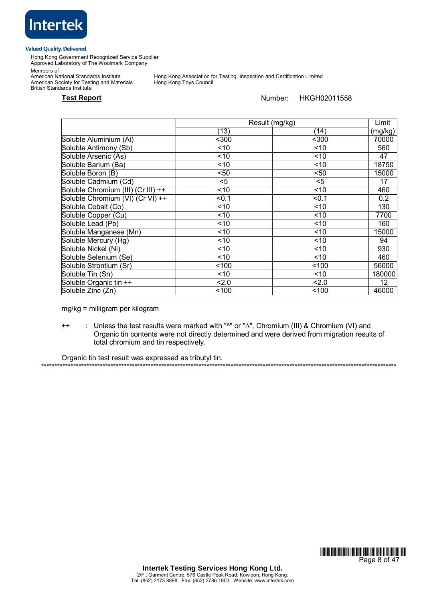

Hong Kong Government Recognized Service Supplier Approved Laboratory of The Woolmark Company

Members of :

Members or .<br>American National Standards Institute<br>American Society for Testing and Materials British Standards Institute

Hong Kong Association for Testing, Inspection and Certification Limited<br>Hong Kong Toys Council

**Test Report** Number: HKGH02011558

|                                    | Result (mg/kg) |       | Limit           |
|------------------------------------|----------------|-------|-----------------|
|                                    | (13)           | (14)  | (mg/kg)         |
| Soluble Aluminium (Al)             | $300$          | $300$ | 70000           |
| Soluble Antimony (Sb)              | ~10            | ~10   | 560             |
| Soluble Arsenic (As)               | < 10           | ~10   | 47              |
| Soluble Barium (Ba)                | ~10            | ~10   | 18750           |
| Soluble Boron (B)                  | $50$           | $50$  | 15000           |
| Soluble Cadmium (Cd)               | <5             | $<$ 5 | 17              |
| Soluble Chromium (III) (Cr III) ++ | ~10            | ~10   | 460             |
| Soluble Chromium (VI) (Cr VI) ++   | < 0.1          | < 0.1 | 0.2             |
| Soluble Cobalt (Co)                | ~10            | < 10  | 130             |
| Soluble Copper (Cu)                | < 10           | ~10   | 7700            |
| Soluble Lead (Pb)                  | ~10            | ~10   | 160             |
| Soluble Manganese (Mn)             | < 10           | ~10   | 15000           |
| Soluble Mercury (Hg)               | ~10            | ~10   | 94              |
| Soluble Nickel (Ni)                | ~10            | < 10  | 930             |
| Soluble Selenium (Se)              | ~10            | ~10   | 460             |
| Soluble Strontium (Sr)             | 100            | ~100  | 56000           |
| Soluble Tin (Sn)                   | < 10           | ~10   | 180000          |
| Soluble Organic tin ++             | 2.0            | 2.0   | 12 <sup>2</sup> |
| Soluble Zinc (Zn)                  | 100            | 100   | 46000           |

mg/kg = milligram per kilogram

++ : Unless the test results were marked with "^" or "∆", Chromium (III) & Chromium (VI) and Organic tin contents were not directly determined and were derived from migration results of total chromium and tin respectively.

Organic tin test result was expressed as tributyl tin. \*\*\*\*\*\*\*\*\*\*\*\*\*\*\*\*\*\*\*\*\*\*\*\*\*\*\*\*\*\*\*\*\*\*\*\*\*\*\*\*\*\*\*\*\*\*\*\*\*\*\*\*\*\*\*\*\*\*\*\*\*\*\*\*\*\*\*\*\*\*\*\*\*\*\*\*\*\*\*\*\*\*\*\*\*\*\*\*\*\*\*\*\*\*\*\*\*\*\*\*\*\*\*\*\*\*\*\*\*\*\*\*\*\*\*\*\*\*\*\*\*\*\*\*\*\*\*\*\*\*\*\*\*

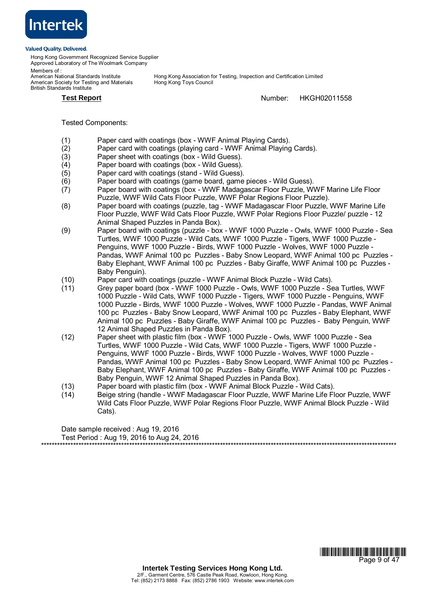

Hong Kong Government Recognized Service Supplier Approved Laboratory of The Woolmark Company

Members of :<br>American National Standards Institute American Society for Testing and Materials British Standards Institute

Hong Kong Association for Testing, Inspection and Certification Limited<br>Hong Kong Toys Council

**Test Report** Number: HKGH02011558

Tested Components:

- (1) Paper card with coatings (box WWF Animal Playing Cards).
- (2) Paper card with coatings (playing card WWF Animal Playing Cards).
- (3) Paper sheet with coatings (box Wild Guess).
- (4) Paper board with coatings (box Wild Guess).
- (5) Paper card with coatings (stand Wild Guess).
- (6) Paper board with coatings (game board, game pieces Wild Guess).
- (7) Paper board with coatings (box WWF Madagascar Floor Puzzle, WWF Marine Life Floor Puzzle, WWF Wild Cats Floor Puzzle, WWF Polar Regions Floor Puzzle).
- (8) Paper board with coatings (puzzle, tag WWF Madagascar Floor Puzzle, WWF Marine Life Floor Puzzle, WWF Wild Cats Floor Puzzle, WWF Polar Regions Floor Puzzle/ puzzle - 12 Animal Shaped Puzzles in Panda Box).
- (9) Paper board with coatings (puzzle box WWF 1000 Puzzle Owls, WWF 1000 Puzzle Sea Turtles, WWF 1000 Puzzle - Wild Cats, WWF 1000 Puzzle - Tigers, WWF 1000 Puzzle - Penguins, WWF 1000 Puzzle - Birds, WWF 1000 Puzzle - Wolves, WWF 1000 Puzzle - Pandas, WWF Animal 100 pc Puzzles - Baby Snow Leopard, WWF Animal 100 pc Puzzles - Baby Elephant, WWF Animal 100 pc Puzzles - Baby Giraffe, WWF Animal 100 pc Puzzles - Baby Penguin).
- (10) Paper card with coatings (puzzle WWF Animal Block Puzzle Wild Cats).
- (11) Grey paper board (box WWF 1000 Puzzle Owls, WWF 1000 Puzzle Sea Turtles, WWF 1000 Puzzle - Wild Cats, WWF 1000 Puzzle - Tigers, WWF 1000 Puzzle - Penguins, WWF 1000 Puzzle - Birds, WWF 1000 Puzzle - Wolves, WWF 1000 Puzzle - Pandas, WWF Animal 100 pc Puzzles - Baby Snow Leopard, WWF Animal 100 pc Puzzles - Baby Elephant, WWF Animal 100 pc Puzzles - Baby Giraffe, WWF Animal 100 pc Puzzles - Baby Penguin, WWF 12 Animal Shaped Puzzles in Panda Box).
- (12) Paper sheet with plastic film (box WWF 1000 Puzzle Owls, WWF 1000 Puzzle Sea Turtles, WWF 1000 Puzzle - Wild Cats, WWF 1000 Puzzle - Tigers, WWF 1000 Puzzle - Penguins, WWF 1000 Puzzle - Birds, WWF 1000 Puzzle - Wolves, WWF 1000 Puzzle - Pandas, WWF Animal 100 pc Puzzles - Baby Snow Leopard, WWF Animal 100 pc Puzzles - Baby Elephant, WWF Animal 100 pc Puzzles - Baby Giraffe, WWF Animal 100 pc Puzzles - Baby Penguin, WWF 12 Animal Shaped Puzzles in Panda Box).
- (13) Paper board with plastic film (box WWF Animal Block Puzzle Wild Cats).
- (14) Beige string (handle WWF Madagascar Floor Puzzle, WWF Marine Life Floor Puzzle, WWF Wild Cats Floor Puzzle, WWF Polar Regions Floor Puzzle, WWF Animal Block Puzzle - Wild Cats).

Date sample received : Aug 19, 2016 Test Period : Aug 19, 2016 to Aug 24, 2016 \*\*\*\*\*\*\*\*\*\*\*\*\*\*\*\*\*\*\*\*\*\*\*\*\*\*\*\*\*\*\*\*\*\*\*\*\*\*\*\*\*\*\*\*\*\*\*\*\*\*\*\*\*\*\*\*\*\*\*\*\*\*\*\*\*\*\*\*\*\*\*\*\*\*\*\*\*\*\*\*\*\*\*\*\*\*\*\*\*\*\*\*\*\*\*\*\*\*\*\*\*\*\*\*\*\*\*\*\*\*\*\*\*\*\*\*\*\*\*\*\*\*\*\*\*\*\*\*\*\*\*\*\*

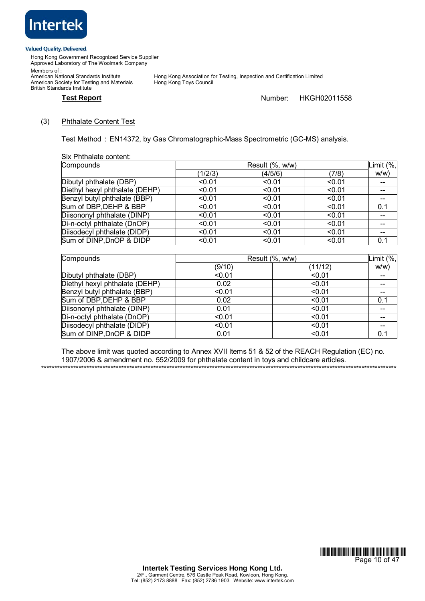

Hong Kong Government Recognized Service Supplier Approved Laboratory of The Woolmark Company Members of :

American National Standards Institute<br>American Society for Testing and Materials British Standards Institute

Hong Kong Association for Testing, Inspection and Certification Limited<br>Hong Kong Toys Council

# **Test Report** Number: HKGH02011558

### (3) Phthalate Content Test

Test Method : EN14372, by Gas Chromatographic-Mass Spectrometric (GC-MS) analysis.

Six Phthalate content:

| Compounds                      |         | Limit (%, |        |       |
|--------------------------------|---------|-----------|--------|-------|
|                                | (1/2/3) | (4/5/6)   | (7/8)  | W/W   |
| Dibutyl phthalate (DBP)        | < 0.01  | < 0.01    | < 0.01 |       |
| Diethyl hexyl phthalate (DEHP) | < 0.01  | < 0.01    | < 0.01 |       |
| Benzyl butyl phthalate (BBP)   | < 0.01  | < 0.01    | < 0.01 | $- -$ |
| Sum of DBP, DEHP & BBP         | < 0.01  | < 0.01    | < 0.01 | 0.1   |
| Diisononyl phthalate (DINP)    | < 0.01  | < 0.01    | < 0.01 |       |
| Di-n-octyl phthalate (DnOP)    | < 0.01  | < 0.01    | < 0.01 | --    |
| Diisodecyl phthalate (DIDP)    | < 0.01  | < 0.01    | < 0.01 | $- -$ |
| Sum of DINP, DnOP & DIDP       | < 0.01  | < 0.01    | < 0.01 | 0.1   |

| Compounds                      | Result (%, w/w) |         |     |
|--------------------------------|-----------------|---------|-----|
|                                | (9/10)          | (11/12) | W/W |
| Dibutyl phthalate (DBP)        | < 0.01          | < 0.01  | --  |
| Diethyl hexyl phthalate (DEHP) | 0.02            | < 0.01  |     |
| Benzyl butyl phthalate (BBP)   | < 0.01          | < 0.01  |     |
| Sum of DBP, DEHP & BBP         | 0.02            | < 0.01  | 0.1 |
| Diisononyl phthalate (DINP)    | 0.01            | < 0.01  |     |
| Di-n-octyl phthalate (DnOP)    | < 0.01          | < 0.01  |     |
| Diisodecyl phthalate (DIDP)    | < 0.01          | < 0.01  | --  |
| Sum of DINP, DnOP & DIDP       | 0.01            | < 0.01  | 0.1 |

The above limit was quoted according to Annex XVII Items 51 & 52 of the REACH Regulation (EC) no. 1907/2006 & amendment no. 552/2009 for phthalate content in toys and childcare articles.

\*\*\*\*\*\*\*\*\*\*\*\*\*\*\*\*\*\*\*\*\*\*\*\*\*\*\*\*\*\*\*\*\*\*\*\*\*\*\*\*\*\*\*\*\*\*\*\*\*\*\*\*\*\*\*\*\*\*\*\*\*\*\*\*\*\*\*\*\*\*\*\*\*\*\*\*\*\*\*\*\*\*\*\*\*\*\*\*\*\*\*\*\*\*\*\*\*\*\*\*\*\*\*\*\*\*\*\*\*\*\*\*\*\*\*\*\*\*\*\*\*\*\*\*\*\*\*\*\*\*\*\*\*

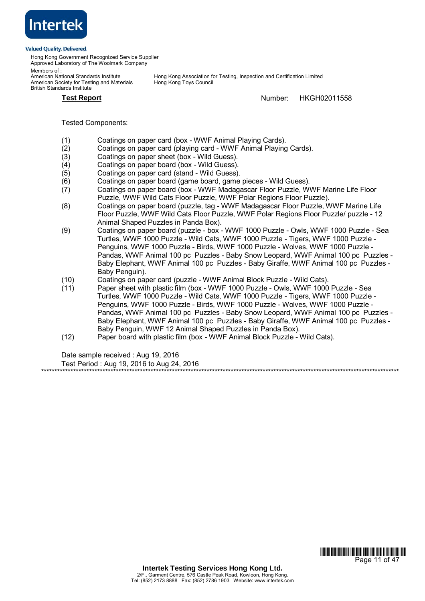

Hong Kong Government Recognized Service Supplier Approved Laboratory of The Woolmark Company

Members of :<br>American National Standards Institute American Society for Testing and Materials British Standards Institute

Hong Kong Association for Testing, Inspection and Certification Limited<br>Hong Kong Toys Council

**Test Report** Number: HKGH02011558

Tested Components:

- (1) Coatings on paper card (box WWF Animal Playing Cards).
- (2) Coatings on paper card (playing card WWF Animal Playing Cards).
- (3) Coatings on paper sheet (box Wild Guess).
- (4) Coatings on paper board (box Wild Guess).
- (5) Coatings on paper card (stand Wild Guess).
- (6) Coatings on paper board (game board, game pieces Wild Guess).
- (7) Coatings on paper board (box WWF Madagascar Floor Puzzle, WWF Marine Life Floor Puzzle, WWF Wild Cats Floor Puzzle, WWF Polar Regions Floor Puzzle).
- (8) Coatings on paper board (puzzle, tag WWF Madagascar Floor Puzzle, WWF Marine Life Floor Puzzle, WWF Wild Cats Floor Puzzle, WWF Polar Regions Floor Puzzle/ puzzle - 12 Animal Shaped Puzzles in Panda Box).
- (9) Coatings on paper board (puzzle box WWF 1000 Puzzle Owls, WWF 1000 Puzzle Sea Turtles, WWF 1000 Puzzle - Wild Cats, WWF 1000 Puzzle - Tigers, WWF 1000 Puzzle - Penguins, WWF 1000 Puzzle - Birds, WWF 1000 Puzzle - Wolves, WWF 1000 Puzzle - Pandas, WWF Animal 100 pc Puzzles - Baby Snow Leopard, WWF Animal 100 pc Puzzles - Baby Elephant, WWF Animal 100 pc Puzzles - Baby Giraffe, WWF Animal 100 pc Puzzles - Baby Penguin).
- (10) Coatings on paper card (puzzle WWF Animal Block Puzzle Wild Cats).
- (11) Paper sheet with plastic film (box WWF 1000 Puzzle Owls, WWF 1000 Puzzle Sea Turtles, WWF 1000 Puzzle - Wild Cats, WWF 1000 Puzzle - Tigers, WWF 1000 Puzzle - Penguins, WWF 1000 Puzzle - Birds, WWF 1000 Puzzle - Wolves, WWF 1000 Puzzle - Pandas, WWF Animal 100 pc Puzzles - Baby Snow Leopard, WWF Animal 100 pc Puzzles - Baby Elephant, WWF Animal 100 pc Puzzles - Baby Giraffe, WWF Animal 100 pc Puzzles - Baby Penguin, WWF 12 Animal Shaped Puzzles in Panda Box).
- (12) Paper board with plastic film (box WWF Animal Block Puzzle Wild Cats).

Date sample received : Aug 19, 2016

Test Period : Aug 19, 2016 to Aug 24, 2016 \*\*\*\*\*\*\*\*\*\*\*\*\*\*\*\*\*\*\*\*\*\*\*\*\*\*\*\*\*\*\*\*\*\*\*\*\*\*\*\*\*\*\*\*\*\*\*\*\*\*\*\*\*\*\*\*\*\*\*\*\*\*\*\*\*\*\*\*\*\*\*\*\*\*\*\*\*\*\*\*\*\*\*\*\*\*\*\*\*\*\*\*\*\*\*\*\*\*\*\*\*\*\*\*\*\*\*\*\*\*\*\*\*\*\*\*\*\*\*\*\*\*\*\*\*\*\*\*\*\*\*\*\*\*

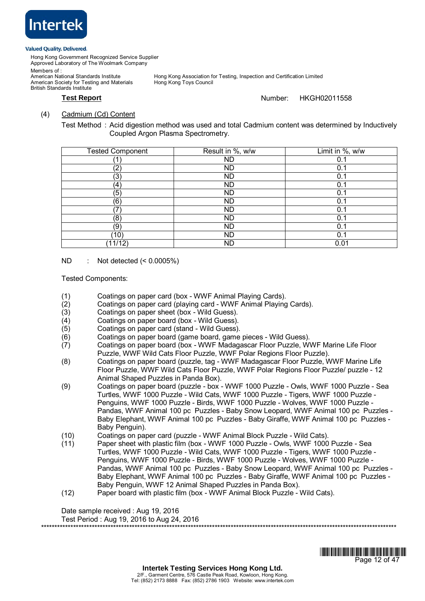

Hong Kong Government Recognized Service Supplier Approved Laboratory of The Woolmark Company Members of :<br>American National Standards Institute

American Society for Testing and Materials British Standards Institute

Hong Kong Association for Testing, Inspection and Certification Limited<br>Hong Kong Toys Council

# **Test Report** Number: HKGH02011558

# (4) Cadmium (Cd) Content

Test Method : Acid digestion method was used and total Cadmium content was determined by Inductively Coupled Argon Plasma Spectrometry.

| <b>Tested Component</b> | Result in %, w/w | Limit in %, w/w |
|-------------------------|------------------|-----------------|
|                         | <b>ND</b>        | 0.1             |
| (2)                     | <b>ND</b>        | 0.1             |
| (3)                     | <b>ND</b>        | 0.1             |
| (4)                     | <b>ND</b>        | 0.1             |
| (5)                     | <b>ND</b>        | 0.1             |
| (6)                     | <b>ND</b>        | 0.1             |
| 7                       | <b>ND</b>        | 0.1             |
| (8)                     | ND               | 0.1             |
| (9)                     | <b>ND</b>        | 0.1             |
| (10)                    | ND               | 0.1             |
| (11/12)                 | ND               | 0.01            |

# ND : Not detected (< 0.0005%)

Tested Components:

- (1) Coatings on paper card (box WWF Animal Playing Cards).
- (2) Coatings on paper card (playing card WWF Animal Playing Cards).
- (3) Coatings on paper sheet (box Wild Guess).
- (4) Coatings on paper board (box Wild Guess).
- (5) Coatings on paper card (stand Wild Guess).
- (6) Coatings on paper board (game board, game pieces Wild Guess).
- (7) Coatings on paper board (box WWF Madagascar Floor Puzzle, WWF Marine Life Floor Puzzle, WWF Wild Cats Floor Puzzle, WWF Polar Regions Floor Puzzle).
- (8) Coatings on paper board (puzzle, tag WWF Madagascar Floor Puzzle, WWF Marine Life Floor Puzzle, WWF Wild Cats Floor Puzzle, WWF Polar Regions Floor Puzzle/ puzzle - 12 Animal Shaped Puzzles in Panda Box).
- (9) Coatings on paper board (puzzle box WWF 1000 Puzzle Owls, WWF 1000 Puzzle Sea Turtles, WWF 1000 Puzzle - Wild Cats, WWF 1000 Puzzle - Tigers, WWF 1000 Puzzle - Penguins, WWF 1000 Puzzle - Birds, WWF 1000 Puzzle - Wolves, WWF 1000 Puzzle - Pandas, WWF Animal 100 pc Puzzles - Baby Snow Leopard, WWF Animal 100 pc Puzzles - Baby Elephant, WWF Animal 100 pc Puzzles - Baby Giraffe, WWF Animal 100 pc Puzzles - Baby Penguin).
- (10) Coatings on paper card (puzzle WWF Animal Block Puzzle Wild Cats).
- (11) Paper sheet with plastic film (box WWF 1000 Puzzle Owls, WWF 1000 Puzzle Sea Turtles, WWF 1000 Puzzle - Wild Cats, WWF 1000 Puzzle - Tigers, WWF 1000 Puzzle - Penguins, WWF 1000 Puzzle - Birds, WWF 1000 Puzzle - Wolves, WWF 1000 Puzzle - Pandas, WWF Animal 100 pc Puzzles - Baby Snow Leopard, WWF Animal 100 pc Puzzles - Baby Elephant, WWF Animal 100 pc Puzzles - Baby Giraffe, WWF Animal 100 pc Puzzles - Baby Penguin, WWF 12 Animal Shaped Puzzles in Panda Box).
- (12) Paper board with plastic film (box WWF Animal Block Puzzle Wild Cats).

Date sample received : Aug 19, 2016 Test Period : Aug 19, 2016 to Aug 24, 2016 \*\*\*\*\*\*\*\*\*\*\*\*\*\*\*\*\*\*\*\*\*\*\*\*\*\*\*\*\*\*\*\*\*\*\*\*\*\*\*\*\*\*\*\*\*\*\*\*\*\*\*\*\*\*\*\*\*\*\*\*\*\*\*\*\*\*\*\*\*\*\*\*\*\*\*\*\*\*\*\*\*\*\*\*\*\*\*\*\*\*\*\*\*\*\*\*\*\*\*\*\*\*\*\*\*\*\*\*\*\*\*\*\*\*\*\*\*\*\*\*\*\*\*\*\*\*\*\*\*\*\*\*\*

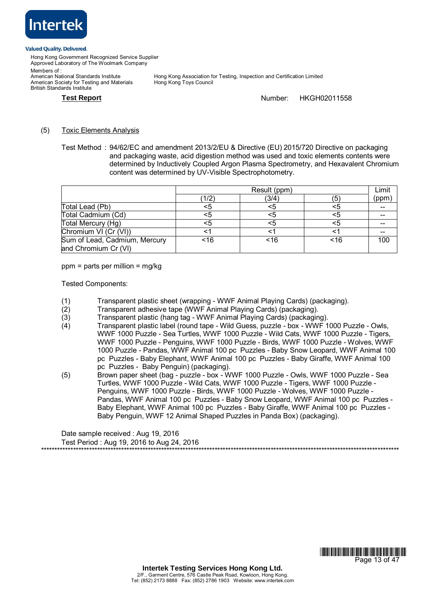

Hong Kong Government Recognized Service Supplier Approved Laboratory of The Woolmark Company

Members of :<br>American National Standards Institute American Society for Testing and Materials British Standards Institute

Hong Kong Association for Testing, Inspection and Certification Limited<br>Hong Kong Toys Council

# **Test Report** Number: HKGH02011558

(5) Toxic Elements Analysis

Test Method : 94/62/EC and amendment 2013/2/EU & Directive (EU) 2015/720 Directive on packaging and packaging waste, acid digestion method was used and toxic elements contents were determined by Inductively Coupled Argon Plasma Spectrometry, and Hexavalent Chromium content was determined by UV-Visible Spectrophotometry.

|                               | Result (ppm) |       |     | Limit |
|-------------------------------|--------------|-------|-----|-------|
|                               | (1/2)        | (3/4) | (5) | (ppm) |
| Total Lead (Pb)               | <5           |       | <5  |       |
| Total Cadmium (Cd)            | <5           |       | <5  |       |
| Total Mercury (Hg)            | <5           |       | <5  |       |
| Chromium VI (Cr (VI))         |              |       |     |       |
| Sum of Lead, Cadmium, Mercury | ~16          | <16   | ~16 | 100   |
| and Chromium Cr (VI)          |              |       |     |       |

ppm = parts per million = mg/kg

Tested Components:

- (1) Transparent plastic sheet (wrapping WWF Animal Playing Cards) (packaging).
- (2) Transparent adhesive tape (WWF Animal Playing Cards) (packaging).
- (3) Transparent plastic (hang tag WWF Animal Playing Cards) (packaging).<br>(4) Transparent plastic label (round tape Wild Guess, puzzle box WWF 1
- (4) Transparent plastic label (round tape Wild Guess, puzzle box WWF 1000 Puzzle Owls, WWF 1000 Puzzle - Sea Turtles, WWF 1000 Puzzle - Wild Cats, WWF 1000 Puzzle - Tigers, WWF 1000 Puzzle - Penguins, WWF 1000 Puzzle - Birds, WWF 1000 Puzzle - Wolves, WWF 1000 Puzzle - Pandas, WWF Animal 100 pc Puzzles - Baby Snow Leopard, WWF Animal 100 pc Puzzles - Baby Elephant, WWF Animal 100 pc Puzzles - Baby Giraffe, WWF Animal 100 pc Puzzles - Baby Penguin) (packaging).
- (5) Brown paper sheet (bag puzzle box WWF 1000 Puzzle Owls, WWF 1000 Puzzle Sea Turtles, WWF 1000 Puzzle - Wild Cats, WWF 1000 Puzzle - Tigers, WWF 1000 Puzzle - Penguins, WWF 1000 Puzzle - Birds, WWF 1000 Puzzle - Wolves, WWF 1000 Puzzle - Pandas, WWF Animal 100 pc Puzzles - Baby Snow Leopard, WWF Animal 100 pc Puzzles - Baby Elephant, WWF Animal 100 pc Puzzles - Baby Giraffe, WWF Animal 100 pc Puzzles - Baby Penguin, WWF 12 Animal Shaped Puzzles in Panda Box) (packaging).

Date sample received : Aug 19, 2016 Test Period : Aug 19, 2016 to Aug 24, 2016 \*\*\*\*\*\*\*\*\*\*\*\*\*\*\*\*\*\*\*\*\*\*\*\*\*\*\*\*\*\*\*\*\*\*\*\*\*\*\*\*\*\*\*\*\*\*\*\*\*\*\*\*\*\*\*\*\*\*\*\*\*\*\*\*\*\*\*\*\*\*\*\*\*\*\*\*\*\*\*\*\*\*\*\*\*\*\*\*\*\*\*\*\*\*\*\*\*\*\*\*\*\*\*\*\*\*\*\*\*\*\*\*\*\*\*\*\*\*\*\*\*\*\*\*\*\*\*\*\*\*\*\*\*\*

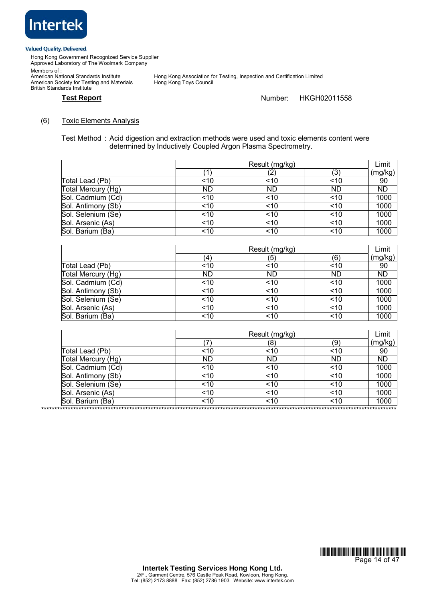

British Standards Institute

Hong Kong Government Recognized Service Supplier Approved Laboratory of The Woolmark Company Members of : Members or .<br>American National Standards Institute<br>American Society for Testing and Materials

Hong Kong Association for Testing, Inspection and Certification Limited<br>Hong Kong Toys Council

# **Test Report Number:** HKGH02011558

# (6) Toxic Elements Analysis

Test Method : Acid digestion and extraction methods were used and toxic elements content were determined by Inductively Coupled Argon Plasma Spectrometry.

|                    | Result (mg/kg) |           |           | Limit     |
|--------------------|----------------|-----------|-----------|-----------|
|                    | (1             | ، ے ،     | (3)       | (mg/kg)   |
| Total Lead (Pb)    | ~10            | 10        | ~10       | 90        |
| Total Mercury (Hg) | <b>ND</b>      | <b>ND</b> | <b>ND</b> | <b>ND</b> |
| Sol. Cadmium (Cd)  | ~10            | ~10       | ~10       | 1000      |
| Sol. Antimony (Sb) | ~10            | ~10       | ~10       | 1000      |
| Sol. Selenium (Se) | ~10            | < 10      | ~10       | 1000      |
| Sol. Arsenic (As)  | 10             | ~10       | ~10       | 1000      |
| Sol. Barium (Ba)   | ~10            | ~10       | ~10       | 1000      |

|                    | Result (mg/kg) |           |     | Limit     |
|--------------------|----------------|-----------|-----|-----------|
|                    | (4)            | (5)       | (6) | (mg/kg)   |
| Total Lead (Pb)    | ~10            | ~10       | ~10 | 90        |
| Total Mercury (Hg) | <b>ND</b>      | <b>ND</b> | ND  | <b>ND</b> |
| Sol. Cadmium (Cd)  | < 10           | < 10      | ~10 | 1000      |
| Sol. Antimony (Sb) | < 10           | < 10      | ~10 | 1000      |
| Sol. Selenium (Se) | < 10           | ~10       | ~10 | 1000      |
| Sol. Arsenic (As)  | 10             | 10        | ~10 | 1000      |
| Sol. Barium (Ba)   | ~10            | ~10       | ~10 | 1000      |

|                    | Result (mg/kg) |     | Limit |         |
|--------------------|----------------|-----|-------|---------|
|                    |                | 8)  | (9)   | (mg/kg) |
| Total Lead (Pb)    | ~10            | ~10 | ~10   | 90      |
| Total Mercury (Hg) | ND             | ND  | ND    | ND      |
| Sol. Cadmium (Cd)  | ~10            | ~10 | ~10   | 1000    |
| Sol. Antimony (Sb) | ~10            | ~10 | ~10   | 1000    |
| Sol. Selenium (Se) | ~10            | ~10 | ~10   | 1000    |
| Sol. Arsenic (As)  | 10             | ~10 | ~10   | 1000    |
| Sol. Barium (Ba)   | ~10            | ~10 | ~10   | 1000    |

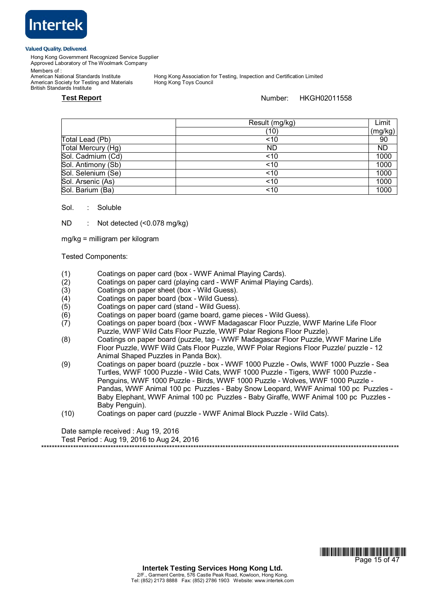

Hong Kong Government Recognized Service Supplier Approved Laboratory of The Woolmark Company

Members of :<br>American National Standards Institute

American Society for Testing and Materials British Standards Institute

Hong Kong Association for Testing, Inspection and Certification Limited<br>Hong Kong Toys Council

**Test Report** Number: HKGH02011558

|                    | Result (mg/kg) | Limit   |
|--------------------|----------------|---------|
|                    | (10)           | (mg/kg) |
| Total Lead (Pb)    | ~10            | 90      |
| Total Mercury (Hg) | ND             | ND      |
| Sol. Cadmium (Cd)  | ~10            | 1000    |
| Sol. Antimony (Sb) | < 10           | 1000    |
| Sol. Selenium (Se) | ~10            | 1000    |
| Sol. Arsenic (As)  | ~10            | 1000    |
| Sol. Barium (Ba)   | ~10            | 1000    |

### Sol. : Soluble

ND : Not detected (<0.078 mg/kg)

mg/kg = milligram per kilogram

Tested Components:

- (1) Coatings on paper card (box WWF Animal Playing Cards).
- (2) Coatings on paper card (playing card WWF Animal Playing Cards).
- (3) Coatings on paper sheet (box Wild Guess).
- (4) Coatings on paper board (box Wild Guess).<br>(5) Coatings on paper card (stand Wild Guess)
- Coatings on paper card (stand Wild Guess).
- (6) Coatings on paper board (game board, game pieces Wild Guess).
- (7) Coatings on paper board (box WWF Madagascar Floor Puzzle, WWF Marine Life Floor Puzzle, WWF Wild Cats Floor Puzzle, WWF Polar Regions Floor Puzzle).
- (8) Coatings on paper board (puzzle, tag WWF Madagascar Floor Puzzle, WWF Marine Life Floor Puzzle, WWF Wild Cats Floor Puzzle, WWF Polar Regions Floor Puzzle/ puzzle - 12 Animal Shaped Puzzles in Panda Box).
- (9) Coatings on paper board (puzzle box WWF 1000 Puzzle Owls, WWF 1000 Puzzle Sea Turtles, WWF 1000 Puzzle - Wild Cats, WWF 1000 Puzzle - Tigers, WWF 1000 Puzzle - Penguins, WWF 1000 Puzzle - Birds, WWF 1000 Puzzle - Wolves, WWF 1000 Puzzle - Pandas, WWF Animal 100 pc Puzzles - Baby Snow Leopard, WWF Animal 100 pc Puzzles - Baby Elephant, WWF Animal 100 pc Puzzles - Baby Giraffe, WWF Animal 100 pc Puzzles - Baby Penguin).
- (10) Coatings on paper card (puzzle WWF Animal Block Puzzle Wild Cats).

\*\*\*\*\*\*\*\*\*\*\*\*\*\*\*\*\*\*\*\*\*\*\*\*\*\*\*\*\*\*\*\*\*\*\*\*\*\*\*\*\*\*\*\*\*\*\*\*\*\*\*\*\*\*\*\*\*\*\*\*\*\*\*\*\*\*\*\*\*\*\*\*\*\*\*\*\*\*\*\*\*\*\*\*\*\*\*\*\*\*\*\*\*\*\*\*\*\*\*\*\*\*\*\*\*\*\*\*\*\*\*\*\*\*\*\*\*\*\*\*\*\*\*\*\*\*\*\*\*\*\*\*\*\*

Date sample received : Aug 19, 2016

Test Period : Aug 19, 2016 to Aug 24, 2016

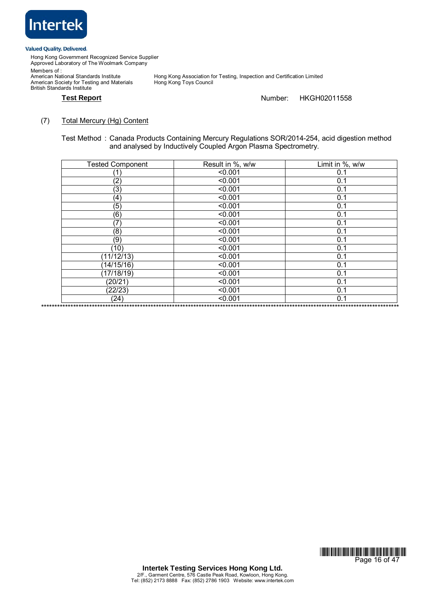

Hong Kong Government Recognized Service Supplier Approved Laboratory of The Woolmark Company Members of :

Members or .<br>American National Standards Institute<br>American Society for Testing and Materials British Standards Institute

Hong Kong Association for Testing, Inspection and Certification Limited<br>Hong Kong Toys Council

# **Test Report** Number: HKGH02011558

# (7) Total Mercury (Hg) Content

Test Method : Canada Products Containing Mercury Regulations SOR/2014-254, acid digestion method and analysed by Inductively Coupled Argon Plasma Spectrometry.

| <b>Tested Component</b> | Result in %, w/w | Limit in %, w/w |
|-------------------------|------------------|-----------------|
|                         | < 0.001          | 0.1             |
| (2)                     | < 0.001          | 0.1             |
| (3)                     | < 0.001          | 0.1             |
| (4)                     | < 0.001          | 0.1             |
| (5)                     | < 0.001          | 0.1             |
| (6)                     | < 0.001          | 0.1             |
| (7)                     | < 0.001          | 0.1             |
| (8)                     | < 0.001          | 0.1             |
| (9)                     | < 0.001          | 0.1             |
| (10)                    | < 0.001          | 0.1             |
| (11/12/13)              | < 0.001          | 0.1             |
| (14/15/16)              | < 0.001          | 0.1             |
| (17/18/19)              | < 0.001          | 0.1             |
| (20/21)                 | < 0.001          | 0.1             |
| (22/23)                 | < 0.001          | 0.1             |
| (24)                    | < 0.001          | 0.1             |

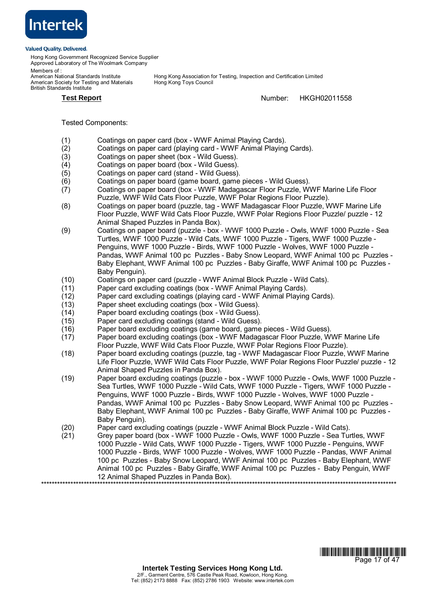

Hong Kong Government Recognized Service Supplier Approved Laboratory of The Woolmark Company

Members of :<br>American National Standards Institute American Society for Testing and Materials British Standards Institute

Hong Kong Association for Testing, Inspection and Certification Limited<br>Hong Kong Toys Council

**Test Report** Number: HKGH02011558

# Tested Components:

- (1) Coatings on paper card (box WWF Animal Playing Cards).
- (2) Coatings on paper card (playing card WWF Animal Playing Cards).
- (3) Coatings on paper sheet (box Wild Guess).
- (4) Coatings on paper board (box Wild Guess).
- (5) Coatings on paper card (stand Wild Guess).
- (6) Coatings on paper board (game board, game pieces Wild Guess).
- (7) Coatings on paper board (box WWF Madagascar Floor Puzzle, WWF Marine Life Floor Puzzle, WWF Wild Cats Floor Puzzle, WWF Polar Regions Floor Puzzle).
- (8) Coatings on paper board (puzzle, tag WWF Madagascar Floor Puzzle, WWF Marine Life Floor Puzzle, WWF Wild Cats Floor Puzzle, WWF Polar Regions Floor Puzzle/ puzzle - 12 Animal Shaped Puzzles in Panda Box).
- (9) Coatings on paper board (puzzle box WWF 1000 Puzzle Owls, WWF 1000 Puzzle Sea Turtles, WWF 1000 Puzzle - Wild Cats, WWF 1000 Puzzle - Tigers, WWF 1000 Puzzle - Penguins, WWF 1000 Puzzle - Birds, WWF 1000 Puzzle - Wolves, WWF 1000 Puzzle - Pandas, WWF Animal 100 pc Puzzles - Baby Snow Leopard, WWF Animal 100 pc Puzzles - Baby Elephant, WWF Animal 100 pc Puzzles - Baby Giraffe, WWF Animal 100 pc Puzzles - Baby Penguin).
- (10) Coatings on paper card (puzzle WWF Animal Block Puzzle Wild Cats).
- (11) Paper card excluding coatings (box WWF Animal Playing Cards).
- (12) Paper card excluding coatings (playing card WWF Animal Playing Cards).
- (13) Paper sheet excluding coatings (box Wild Guess).
- (14) Paper board excluding coatings (box Wild Guess).
- Paper card excluding coatings (stand Wild Guess).
- (16) Paper board excluding coatings (game board, game pieces Wild Guess).<br>(17) Paper board excluding coatings (box WWF Madagascar Floor Puzzle. W
- Paper board excluding coatings (box WWF Madagascar Floor Puzzle, WWF Marine Life Floor Puzzle, WWF Wild Cats Floor Puzzle, WWF Polar Regions Floor Puzzle).
- (18) Paper board excluding coatings (puzzle, tag WWF Madagascar Floor Puzzle, WWF Marine Life Floor Puzzle, WWF Wild Cats Floor Puzzle, WWF Polar Regions Floor Puzzle/ puzzle - 12 Animal Shaped Puzzles in Panda Box).
- (19) Paper board excluding coatings (puzzle box WWF 1000 Puzzle Owls, WWF 1000 Puzzle Sea Turtles, WWF 1000 Puzzle - Wild Cats, WWF 1000 Puzzle - Tigers, WWF 1000 Puzzle - Penguins, WWF 1000 Puzzle - Birds, WWF 1000 Puzzle - Wolves, WWF 1000 Puzzle - Pandas, WWF Animal 100 pc Puzzles - Baby Snow Leopard, WWF Animal 100 pc Puzzles - Baby Elephant, WWF Animal 100 pc Puzzles - Baby Giraffe, WWF Animal 100 pc Puzzles - Baby Penguin).
- (20) Paper card excluding coatings (puzzle WWF Animal Block Puzzle Wild Cats).<br>(21) Grey paper board (box WWF 1000 Puzzle Owls, WWF 1000 Puzzle Sea Tur
- Grey paper board (box WWF 1000 Puzzle Owls, WWF 1000 Puzzle Sea Turtles, WWF 1000 Puzzle - Wild Cats, WWF 1000 Puzzle - Tigers, WWF 1000 Puzzle - Penguins, WWF 1000 Puzzle - Birds, WWF 1000 Puzzle - Wolves, WWF 1000 Puzzle - Pandas, WWF Animal 100 pc Puzzles - Baby Snow Leopard, WWF Animal 100 pc Puzzles - Baby Elephant, WWF Animal 100 pc Puzzles - Baby Giraffe, WWF Animal 100 pc Puzzles - Baby Penguin, WWF 12 Animal Shaped Puzzles in Panda Box). \*\*\*\*\*\*\*\*\*\*\*\*\*\*\*\*\*\*\*\*\*\*\*\*\*\*\*\*\*\*\*\*\*\*\*\*\*\*\*\*\*\*\*\*\*\*\*\*\*\*\*\*\*\*\*\*\*\*\*\*\*\*\*\*\*\*\*\*\*\*\*\*\*\*\*\*\*\*\*\*\*\*\*\*\*\*\*\*\*\*\*\*\*\*\*\*\*\*\*\*\*\*\*\*\*\*\*\*\*\*\*\*\*\*\*\*\*\*\*\*\*\*\*\*\*\*\*\*\*\*\*\*\*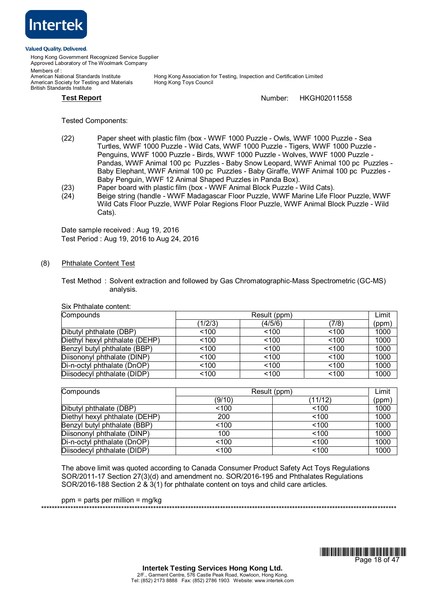

Hong Kong Government Recognized Service Supplier Approved Laboratory of The Woolmark Company

Members of :<br>American National Standards Institute American Society for Testing and Materials British Standards Institute

Hong Kong Association for Testing, Inspection and Certification Limited<br>Hong Kong Toys Council

# **Test Report** Number: HKGH02011558

Tested Components:

- (22) Paper sheet with plastic film (box WWF 1000 Puzzle Owls, WWF 1000 Puzzle Sea Turtles, WWF 1000 Puzzle - Wild Cats, WWF 1000 Puzzle - Tigers, WWF 1000 Puzzle - Penguins, WWF 1000 Puzzle - Birds, WWF 1000 Puzzle - Wolves, WWF 1000 Puzzle - Pandas, WWF Animal 100 pc Puzzles - Baby Snow Leopard, WWF Animal 100 pc Puzzles - Baby Elephant, WWF Animal 100 pc Puzzles - Baby Giraffe, WWF Animal 100 pc Puzzles - Baby Penguin, WWF 12 Animal Shaped Puzzles in Panda Box).
- (23) Paper board with plastic film (box WWF Animal Block Puzzle Wild Cats).
- (24) Beige string (handle WWF Madagascar Floor Puzzle, WWF Marine Life Floor Puzzle, WWF Wild Cats Floor Puzzle, WWF Polar Regions Floor Puzzle, WWF Animal Block Puzzle - Wild Cats).

Date sample received : Aug 19, 2016 Test Period : Aug 19, 2016 to Aug 24, 2016

# (8) Phthalate Content Test

Test Method : Solvent extraction and followed by Gas Chromatographic-Mass Spectrometric (GC-MS) analysis.

Six Phthalate content:

| Compounds                      |         | Result (ppm) |       |       |
|--------------------------------|---------|--------------|-------|-------|
|                                | (1/2/3) | (4/5/6)      | (7/8) | (ppm) |
| Dibutyl phthalate (DBP)        | < 100   | < 100        | ~100  | 1000  |
| Diethyl hexyl phthalate (DEHP) | < 100   | < 100        | < 100 | 1000  |
| Benzyl butyl phthalate (BBP)   | < 100   | < 100        | < 100 | 1000  |
| Diisononyl phthalate (DINP)    | < 100   | < 100        | < 100 | 1000  |
| Di-n-octyl phthalate (DnOP)    | < 100   | < 100        | < 100 | 1000  |
| Diisodecyl phthalate (DIDP)    | < 100   | < 100        | ~100  | 1000  |

| Compounds                      | Result (ppm) |         | Limit |
|--------------------------------|--------------|---------|-------|
|                                | (9/10)       | (11/12) | (ppm) |
| Dibutyl phthalate (DBP)        | 100          | ~100    | 1000  |
| Diethyl hexyl phthalate (DEHP) | 200          | ~100    | 1000  |
| Benzyl butyl phthalate (BBP)   | 100          | ~100    | 1000  |
| Diisononyl phthalate (DINP)    | 100          | ~100    | 1000  |
| Di-n-octyl phthalate (DnOP)    | < 100        | ~100    | 1000  |
| Diisodecyl phthalate (DIDP)    | 100          | ~100    | 1000  |

The above limit was quoted according to Canada Consumer Product Safety Act Toys Regulations SOR/2011-17 Section 27(3)(d) and amendment no. SOR/2016-195 and Phthalates Regulations SOR/2016-188 Section 2 & 3(1) for phthalate content on toys and child care articles.

\*\*\*\*\*\*\*\*\*\*\*\*\*\*\*\*\*\*\*\*\*\*\*\*\*\*\*\*\*\*\*\*\*\*\*\*\*\*\*\*\*\*\*\*\*\*\*\*\*\*\*\*\*\*\*\*\*\*\*\*\*\*\*\*\*\*\*\*\*\*\*\*\*\*\*\*\*\*\*\*\*\*\*\*\*\*\*\*\*\*\*\*\*\*\*\*\*\*\*\*\*\*\*\*\*\*\*\*\*\*\*\*\*\*\*\*\*\*\*\*\*\*\*\*\*\*\*\*\*\*\*\*\*

ppm = parts per million = mg/kg

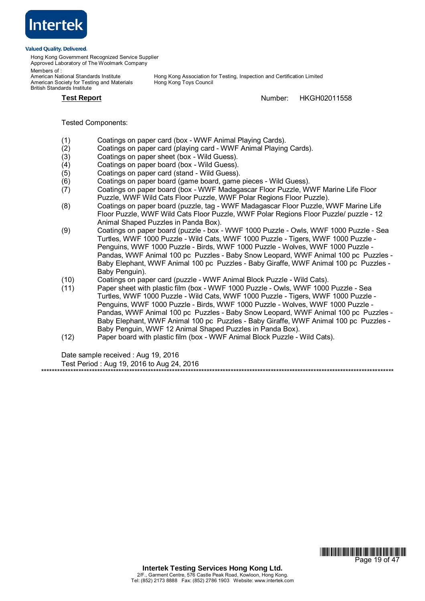

Hong Kong Government Recognized Service Supplier Approved Laboratory of The Woolmark Company

Members of :<br>American National Standards Institute American Society for Testing and Materials British Standards Institute

Hong Kong Association for Testing, Inspection and Certification Limited<br>Hong Kong Toys Council

**Test Report** Number: HKGH02011558

\*\*\*\*\*\*\*\*\*\*\*\*\*\*\*\*\*\*\*\*\*\*\*\*\*\*\*\*\*\*\*\*\*\*\*\*\*\*\*\*\*\*\*\*\*\*\*\*\*\*\*\*\*\*\*\*\*\*\*\*\*\*\*\*\*\*\*\*\*\*\*\*\*\*\*\*\*\*\*\*\*\*\*\*\*\*\*\*\*\*\*\*\*\*\*\*\*\*\*\*\*\*\*\*\*\*\*\*\*\*\*\*\*\*\*\*\*\*\*\*\*\*\*\*\*\*\*\*\*\*\*\*

Tested Components:

- (1) Coatings on paper card (box WWF Animal Playing Cards).
- (2) Coatings on paper card (playing card WWF Animal Playing Cards).
- (3) Coatings on paper sheet (box Wild Guess).
- (4) Coatings on paper board (box Wild Guess).
- (5) Coatings on paper card (stand Wild Guess).
- (6) Coatings on paper board (game board, game pieces Wild Guess).
- (7) Coatings on paper board (box WWF Madagascar Floor Puzzle, WWF Marine Life Floor Puzzle, WWF Wild Cats Floor Puzzle, WWF Polar Regions Floor Puzzle).
- (8) Coatings on paper board (puzzle, tag WWF Madagascar Floor Puzzle, WWF Marine Life Floor Puzzle, WWF Wild Cats Floor Puzzle, WWF Polar Regions Floor Puzzle/ puzzle - 12 Animal Shaped Puzzles in Panda Box).
- (9) Coatings on paper board (puzzle box WWF 1000 Puzzle Owls, WWF 1000 Puzzle Sea Turtles, WWF 1000 Puzzle - Wild Cats, WWF 1000 Puzzle - Tigers, WWF 1000 Puzzle - Penguins, WWF 1000 Puzzle - Birds, WWF 1000 Puzzle - Wolves, WWF 1000 Puzzle - Pandas, WWF Animal 100 pc Puzzles - Baby Snow Leopard, WWF Animal 100 pc Puzzles - Baby Elephant, WWF Animal 100 pc Puzzles - Baby Giraffe, WWF Animal 100 pc Puzzles - Baby Penguin).
- (10) Coatings on paper card (puzzle WWF Animal Block Puzzle Wild Cats).
- (11) Paper sheet with plastic film (box WWF 1000 Puzzle Owls, WWF 1000 Puzzle Sea Turtles, WWF 1000 Puzzle - Wild Cats, WWF 1000 Puzzle - Tigers, WWF 1000 Puzzle - Penguins, WWF 1000 Puzzle - Birds, WWF 1000 Puzzle - Wolves, WWF 1000 Puzzle - Pandas, WWF Animal 100 pc Puzzles - Baby Snow Leopard, WWF Animal 100 pc Puzzles - Baby Elephant, WWF Animal 100 pc Puzzles - Baby Giraffe, WWF Animal 100 pc Puzzles - Baby Penguin, WWF 12 Animal Shaped Puzzles in Panda Box).
- (12) Paper board with plastic film (box WWF Animal Block Puzzle Wild Cats).

Date sample received : Aug 19, 2016

Test Period : Aug 19, 2016 to Aug 24, 2016

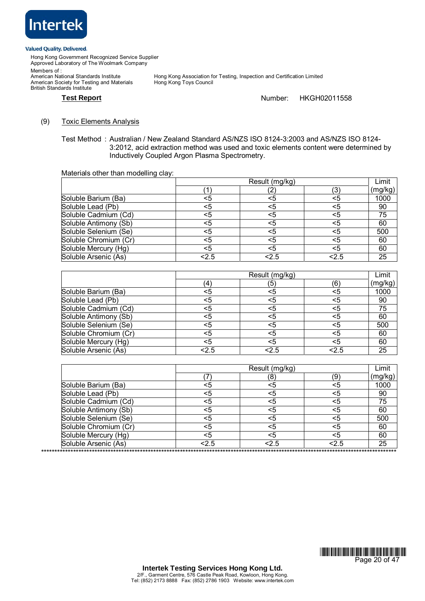

Hong Kong Government Recognized Service Supplier Approved Laboratory of The Woolmark Company Members of : Members or .<br>American National Standards Institute<br>American Society for Testing and Materials British Standards Institute

Hong Kong Association for Testing, Inspection and Certification Limited<br>Hong Kong Toys Council

# **Test Report** Number: HKGH02011558

# (9) Toxic Elements Analysis

Test Method : Australian / New Zealand Standard AS/NZS ISO 8124-3:2003 and AS/NZS ISO 8124- 3:2012, acid extraction method was used and toxic elements content were determined by Inductively Coupled Argon Plasma Spectrometry.

Materials other than modelling clay:

|                       | Result (mg/kg) |     |     | Limit   |
|-----------------------|----------------|-----|-----|---------|
|                       |                |     | 3)  | (mg/kg) |
| Soluble Barium (Ba)   | <5             | <5  | <5  | 1000    |
| Soluble Lead (Pb)     | <5             | <5  | <5  | 90      |
| Soluble Cadmium (Cd)  | <5             | <5  | <5  | 75      |
| Soluble Antimony (Sb) | <5             | <5  | <5  | 60      |
| Soluble Selenium (Se) | <5             | <5  | <5  | 500     |
| Soluble Chromium (Cr) | <5             | <5  | <5  | 60      |
| Soluble Mercury (Hg)  | <5             | <5  | <5  | 60      |
| Soluble Arsenic (As)  | 2.5            | 2.5 | 2.5 | 25      |

|                       | Result (mg/kg) |     |      | Limit   |
|-----------------------|----------------|-----|------|---------|
|                       | (4)            | (5) | (6)  | (mg/kg) |
| Soluble Barium (Ba)   | <5             | <5  | <5   | 1000    |
| Soluble Lead (Pb)     | <5             | <5  | <5   | 90      |
| Soluble Cadmium (Cd)  | <5             | <5  | <5   | 75      |
| Soluble Antimony (Sb) | <5             | <5  | <5   | 60      |
| Soluble Selenium (Se) | <5             | <5  | <5   | 500     |
| Soluble Chromium (Cr) | <5             | <5  | <5   | 60      |
| Soluble Mercury (Hg)  | <5             | <5  | <5   | 60      |
| Soluble Arsenic (As)  | <2.5           | 2.5 | <2.5 | 25      |

|                       | Result (mg/kg) |      |      | Limit   |
|-----------------------|----------------|------|------|---------|
|                       |                | 8)   | (9   | (mg/kg) |
| Soluble Barium (Ba)   | <5             | <5   | <5   | 1000    |
| Soluble Lead (Pb)     | <5             | <5   | <5   | 90      |
| Soluble Cadmium (Cd)  | <5             | <5   | <5   | 75      |
| Soluble Antimony (Sb) | <5             | <5   | <5   | 60      |
| Soluble Selenium (Se) | <5             | <5   | <5   | 500     |
| Soluble Chromium (Cr) | <5             | <5   | <5   | 60      |
| Soluble Mercury (Hg)  | <5             | <5   | <5   | 60      |
| Soluble Arsenic (As)  | <2.5           | <2.5 | <2.5 | 25      |

\*\*\*\*\*\*\*\*\*\*\*\*\*\*\*\*\*\*\*\*\*\*\*\*\*\*\*\*\*\*\*\*\*\*\*\*\*\*\*\*\*\*\*\*\*\*\*\*\*\*\*\*\*\*\*\*\*\*\*\*\*\*\*\*\*\*\*\*\*\*\*\*\*\*\*\*\*\*\*\*\*\*\*\*\*\*\*\*\*\*\*\*\*\*\*\*\*\*\*\*\*\*\*\*\*\*\*\*\*\*\*\*\*\*\*\*\*\*\*\*\*\*\*\*\*\*\*\*\*\*\*\*\*

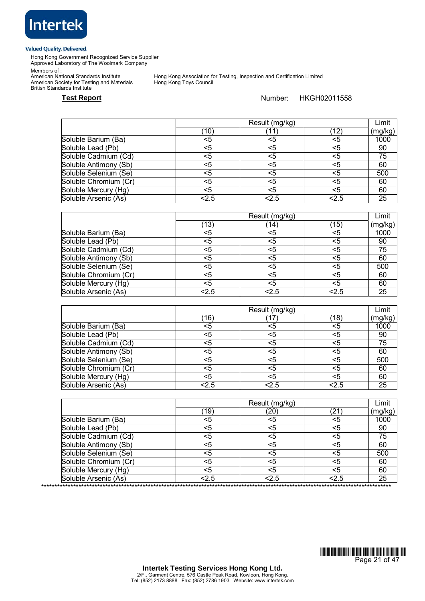

Hong Kong Government Recognized Service Supplier Approved Laboratory of The Woolmark Company

Members of :

American Society for Testing and Materials Hong Kong Toys Council British Standards Institute

Hong Kong Association for Testing, Inspection and Certification Limited<br>Hong Kong Toys Council

# Test Report **Number:** HKGH02011558

|                       |      | Result (mg/kg) |     |         |
|-----------------------|------|----------------|-----|---------|
|                       | (10) |                | 12' | (mg/kg) |
| Soluble Barium (Ba)   | <5   |                | <5  | 1000    |
| Soluble Lead (Pb)     | <5   |                | <5  | 90      |
| Soluble Cadmium (Cd)  | <5   | <5             | <5  | 75      |
| Soluble Antimony (Sb) | <5   | <5             | <5  | 60      |
| Soluble Selenium (Se) | <5   | <5             | <5  | 500     |
| Soluble Chromium (Cr) | <5   | <5             | <5  | 60      |
| Soluble Mercury (Hg)  | <5   | <5             | <5  | 60      |
| Soluble Arsenic (As)  | 2.5  | 2.5            | 2.5 | 25      |

|                       |      | Result (mg/kg) |     | Limit   |
|-----------------------|------|----------------|-----|---------|
|                       | ั13) | (14)           | 15) | (mg/kg) |
| Soluble Barium (Ba)   | <5   | <5             | <5  | 1000    |
| Soluble Lead (Pb)     | <5   | <5             | <5  | 90      |
| Soluble Cadmium (Cd)  | <5   | <5             | <5  | 75      |
| Soluble Antimony (Sb) | <5   | <5             | <5  | 60      |
| Soluble Selenium (Se) | <5   | <5             | <5  | 500     |
| Soluble Chromium (Cr) | <5   | <5             | <5  | 60      |
| Soluble Mercury (Hg)  | <5   | <5             | <5  | 60      |
| Soluble Arsenic (As)  | 2.5  | 2.5            | 2.5 | 25      |

|                       |      | Result (mg/kg) |      | Limit   |
|-----------------------|------|----------------|------|---------|
|                       | ั16) |                | (18) | (mg/kg) |
| Soluble Barium (Ba)   | <5   | <5             | <5   | 1000    |
| Soluble Lead (Pb)     | <5   | <5             | <5   | 90      |
| Soluble Cadmium (Cd)  | <5   | <5             | <5   | 75      |
| Soluble Antimony (Sb) | <5   | <5             | <5   | 60      |
| Soluble Selenium (Se) | <5   | <5             | <5   | 500     |
| Soluble Chromium (Cr) | <5   | <5             |      | 60      |
| Soluble Mercury (Hg)  | <5   | <5             | <5   | 60      |
| Soluble Arsenic (As)  | 2.5  | 2.5            | 2.5  | 25      |

|                       |      | Result (mg/kg)     |      |         |
|-----------------------|------|--------------------|------|---------|
|                       | (19) | $\left( 20\right)$ | (21) | (mg/kg) |
| Soluble Barium (Ba)   | <5   | <5                 | <5   | 1000    |
| Soluble Lead (Pb)     | <5   | <5                 | <5   | 90      |
| Soluble Cadmium (Cd)  | <5   | <5                 | <5   | 75      |
| Soluble Antimony (Sb) | <5   | <5                 | <5   | 60      |
| Soluble Selenium (Se) | <5   | <5                 | <5   | 500     |
| Soluble Chromium (Cr) | <5   | <5                 | <5   | 60      |
| Soluble Mercury (Hg)  | <5   | <5                 | <5   | 60      |
| Soluble Arsenic (As)  | 2.5  | 2.5                | 2.5  | 25      |

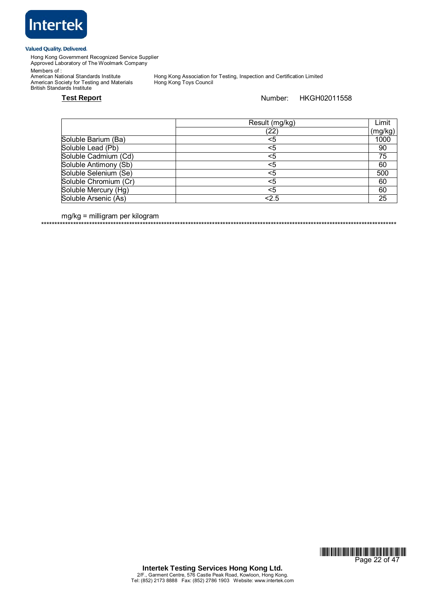

Hong Kong Government Recognized Service Supplier Approved Laboratory of The Woolmark Company

Members of :

American Society for Testing and Materials Hong Kong Toys Council British Standards Institute

Hong Kong Association for Testing, Inspection and Certification Limited<br>Hong Kong Toys Council

# **Test Report Number:** HKGH02011558

|                       | Result (mg/kg) | Limit   |
|-----------------------|----------------|---------|
|                       | (22)           | (mg/kg) |
| Soluble Barium (Ba)   | <5             | 1000    |
| Soluble Lead (Pb)     | <5             | 90      |
| Soluble Cadmium (Cd)  | <5             | 75      |
| Soluble Antimony (Sb) | <5             | 60      |
| Soluble Selenium (Se) | <5             | 500     |
| Soluble Chromium (Cr) | <5             | 60      |
| Soluble Mercury (Hg)  | <5             | 60      |
| Soluble Arsenic (As)  | 2.5            | 25      |

mg/kg = milligram per kilogram

\*\*\*\*\*\*\*\*\*\*\*\*\*\*\*\*\*\*\*\*\*\*\*\*\*\*\*\*\*\*\*\*\*\*\*\*\*\*\*\*\*\*\*\*\*\*\*\*\*\*\*\*\*\*\*\*\*\*\*\*\*\*\*\*\*\*\*\*\*\*\*\*\*\*\*\*\*\*\*\*\*\*\*\*\*\*\*\*\*\*\*\*\*\*\*\*\*\*\*\*\*\*\*\*\*\*\*\*\*\*\*\*\*\*\*\*\*\*\*\*\*\*\*\*\*\*\*\*\*\*\*\*\*

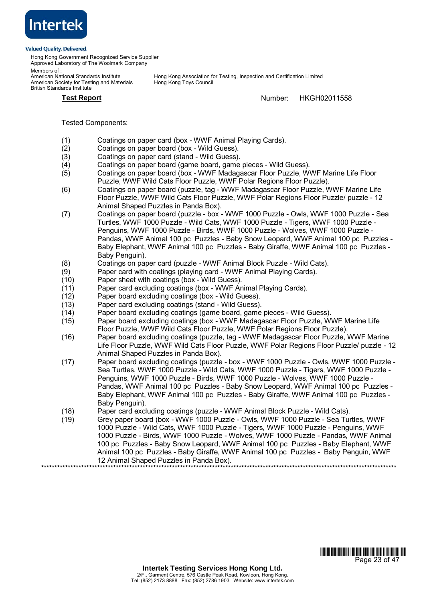

Hong Kong Government Recognized Service Supplier Approved Laboratory of The Woolmark Company

Members of :<br>American National Standards Institute American Society for Testing and Materials British Standards Institute

Hong Kong Association for Testing, Inspection and Certification Limited<br>Hong Kong Toys Council

**Test Report** Number: HKGH02011558

# Tested Components:

- (1) Coatings on paper card (box WWF Animal Playing Cards).
- (2) Coatings on paper board (box Wild Guess).
- (3) Coatings on paper card (stand Wild Guess).
- (4) Coatings on paper board (game board, game pieces Wild Guess).
- (5) Coatings on paper board (box WWF Madagascar Floor Puzzle, WWF Marine Life Floor Puzzle, WWF Wild Cats Floor Puzzle, WWF Polar Regions Floor Puzzle).
- (6) Coatings on paper board (puzzle, tag WWF Madagascar Floor Puzzle, WWF Marine Life Floor Puzzle, WWF Wild Cats Floor Puzzle, WWF Polar Regions Floor Puzzle/ puzzle - 12 Animal Shaped Puzzles in Panda Box).
- (7) Coatings on paper board (puzzle box WWF 1000 Puzzle Owls, WWF 1000 Puzzle Sea Turtles, WWF 1000 Puzzle - Wild Cats, WWF 1000 Puzzle - Tigers, WWF 1000 Puzzle - Penguins, WWF 1000 Puzzle - Birds, WWF 1000 Puzzle - Wolves, WWF 1000 Puzzle - Pandas, WWF Animal 100 pc Puzzles - Baby Snow Leopard, WWF Animal 100 pc Puzzles - Baby Elephant, WWF Animal 100 pc Puzzles - Baby Giraffe, WWF Animal 100 pc Puzzles - Baby Penguin).
- (8) Coatings on paper card (puzzle WWF Animal Block Puzzle Wild Cats).<br>(9) Paper card with coatings (playing card WWF Animal Playing Cards).
- Paper card with coatings (playing card WWF Animal Playing Cards).
- (10) Paper sheet with coatings (box Wild Guess).
- (11) Paper card excluding coatings (box WWF Animal Playing Cards).
- (12) Paper board excluding coatings (box Wild Guess).
- (13) Paper card excluding coatings (stand Wild Guess).
- (14) Paper board excluding coatings (game board, game pieces Wild Guess).
- (15) Paper board excluding coatings (box WWF Madagascar Floor Puzzle, WWF Marine Life Floor Puzzle, WWF Wild Cats Floor Puzzle, WWF Polar Regions Floor Puzzle).
- (16) Paper board excluding coatings (puzzle, tag WWF Madagascar Floor Puzzle, WWF Marine Life Floor Puzzle, WWF Wild Cats Floor Puzzle, WWF Polar Regions Floor Puzzle/ puzzle - 12 Animal Shaped Puzzles in Panda Box).
- (17) Paper board excluding coatings (puzzle box WWF 1000 Puzzle Owls, WWF 1000 Puzzle Sea Turtles, WWF 1000 Puzzle - Wild Cats, WWF 1000 Puzzle - Tigers, WWF 1000 Puzzle -Penguins, WWF 1000 Puzzle - Birds, WWF 1000 Puzzle - Wolves, WWF 1000 Puzzle - Pandas, WWF Animal 100 pc Puzzles - Baby Snow Leopard, WWF Animal 100 pc Puzzles - Baby Elephant, WWF Animal 100 pc Puzzles - Baby Giraffe, WWF Animal 100 pc Puzzles - Baby Penguin).
- (18) Paper card excluding coatings (puzzle WWF Animal Block Puzzle Wild Cats).
- (19) Grey paper board (box WWF 1000 Puzzle Owls, WWF 1000 Puzzle Sea Turtles, WWF 1000 Puzzle - Wild Cats, WWF 1000 Puzzle - Tigers, WWF 1000 Puzzle - Penguins, WWF 1000 Puzzle - Birds, WWF 1000 Puzzle - Wolves, WWF 1000 Puzzle - Pandas, WWF Animal 100 pc Puzzles - Baby Snow Leopard, WWF Animal 100 pc Puzzles - Baby Elephant, WWF Animal 100 pc Puzzles - Baby Giraffe, WWF Animal 100 pc Puzzles - Baby Penguin, WWF 12 Animal Shaped Puzzles in Panda Box). \*\*\*\*\*\*\*\*\*\*\*\*\*\*\*\*\*\*\*\*\*\*\*\*\*\*\*\*\*\*\*\*\*\*\*\*\*\*\*\*\*\*\*\*\*\*\*\*\*\*\*\*\*\*\*\*\*\*\*\*\*\*\*\*\*\*\*\*\*\*\*\*\*\*\*\*\*\*\*\*\*\*\*\*\*\*\*\*\*\*\*\*\*\*\*\*\*\*\*\*\*\*\*\*\*\*\*\*\*\*\*\*\*\*\*\*\*\*\*\*\*\*\*\*\*\*\*\*\*\*\*\*\*

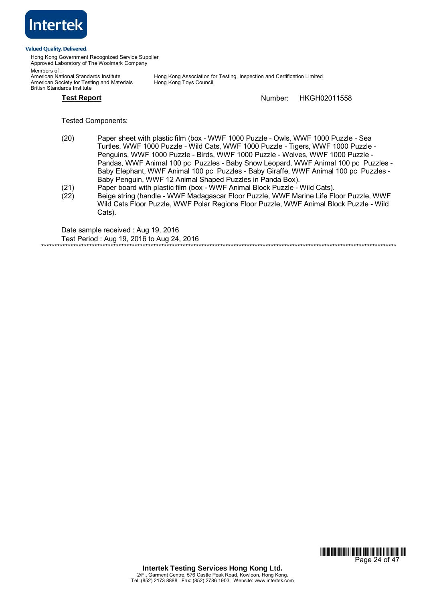

Hong Kong Government Recognized Service Supplier Approved Laboratory of The Woolmark Company

Members of :<br>American National Standards Institute American Society for Testing and Materials British Standards Institute

Hong Kong Association for Testing, Inspection and Certification Limited<br>Hong Kong Toys Council

**Test Report** Number: HKGH02011558

Tested Components:

- (20) Paper sheet with plastic film (box WWF 1000 Puzzle Owls, WWF 1000 Puzzle Sea Turtles, WWF 1000 Puzzle - Wild Cats, WWF 1000 Puzzle - Tigers, WWF 1000 Puzzle - Penguins, WWF 1000 Puzzle - Birds, WWF 1000 Puzzle - Wolves, WWF 1000 Puzzle - Pandas, WWF Animal 100 pc Puzzles - Baby Snow Leopard, WWF Animal 100 pc Puzzles - Baby Elephant, WWF Animal 100 pc Puzzles - Baby Giraffe, WWF Animal 100 pc Puzzles - Baby Penguin, WWF 12 Animal Shaped Puzzles in Panda Box).
- (21) Paper board with plastic film (box WWF Animal Block Puzzle Wild Cats).
- (22) Beige string (handle WWF Madagascar Floor Puzzle, WWF Marine Life Floor Puzzle, WWF Wild Cats Floor Puzzle, WWF Polar Regions Floor Puzzle, WWF Animal Block Puzzle - Wild Cats).

Date sample received : Aug 19, 2016 Test Period : Aug 19, 2016 to Aug 24, 2016 \*\*\*\*\*\*\*\*\*\*\*\*\*\*\*\*\*\*\*\*\*\*\*\*\*\*\*\*\*\*\*\*\*\*\*\*\*\*\*\*\*\*\*\*\*\*\*\*\*\*\*\*\*\*\*\*\*\*\*\*\*\*\*\*\*\*\*\*\*\*\*\*\*\*\*\*\*\*\*\*\*\*\*\*\*\*\*\*\*\*\*\*\*\*\*\*\*\*\*\*\*\*\*\*\*\*\*\*\*\*\*\*\*\*\*\*\*\*\*\*\*\*\*\*\*\*\*\*\*\*\*\*\*

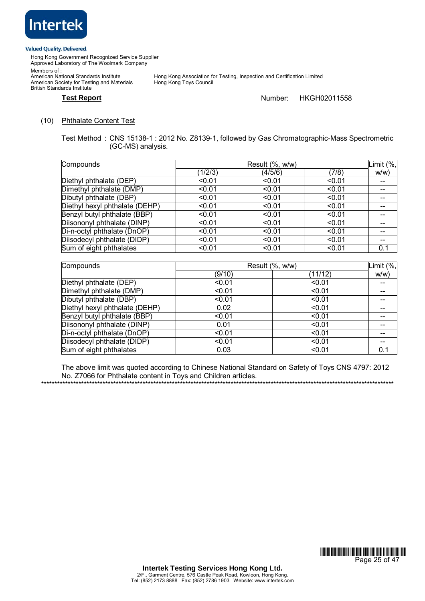

British Standards Institute

Hong Kong Government Recognized Service Supplier Approved Laboratory of The Woolmark Company Members of : American National Standards Institute<br>American Society for Testing and Materials

Hong Kong Association for Testing, Inspection and Certification Limited<br>Hong Kong Toys Council

# **Test Report** Number: HKGH02011558

# (10) Phthalate Content Test

Test Method : CNS 15138-1 : 2012 No. Z8139-1, followed by Gas Chromatographic-Mass Spectrometric (GC-MS) analysis.

| Compounds                      | Result (%, w/w) |         |        | Limit $(\%$ , |
|--------------------------------|-----------------|---------|--------|---------------|
|                                | (1/2/3)         | (4/5/6) | (7/8)  | W/W           |
| Diethyl phthalate (DEP)        | < 0.01          | < 0.01  | < 0.01 | --            |
| Dimethyl phthalate (DMP)       | < 0.01          | < 0.01  | < 0.01 | --            |
| Dibutyl phthalate (DBP)        | < 0.01          | < 0.01  | < 0.01 | $- -$         |
| Diethyl hexyl phthalate (DEHP) | < 0.01          | < 0.01  | < 0.01 | $- -$         |
| Benzyl butyl phthalate (BBP)   | < 0.01          | < 0.01  | < 0.01 |               |
| Diisononyl phthalate (DINP)    | < 0.01          | < 0.01  | < 0.01 | $- -$         |
| Di-n-octyl phthalate (DnOP)    | < 0.01          | < 0.01  | < 0.01 | --            |
| Diisodecyl phthalate (DIDP)    | < 0.01          | < 0.01  | < 0.01 | $- -$         |
| Sum of eight phthalates        | < 0.01          | < 0.01  | < 0.01 | 0.1           |

| Compounds                      | Result (%, w/w) |         | Limit (%, |
|--------------------------------|-----------------|---------|-----------|
|                                | (9/10)          | (11/12) | W/W       |
| Diethyl phthalate (DEP)        | < 0.01          | < 0.01  | --        |
| Dimethyl phthalate (DMP)       | < 0.01          | < 0.01  |           |
| Dibutyl phthalate (DBP)        | < 0.01          | < 0.01  |           |
| Diethyl hexyl phthalate (DEHP) | 0.02            | < 0.01  | --        |
| Benzyl butyl phthalate (BBP)   | < 0.01          | < 0.01  |           |
| Diisononyl phthalate (DINP)    | 0.01            | < 0.01  |           |
| Di-n-octyl phthalate (DnOP)    | < 0.01          | < 0.01  |           |
| Diisodecyl phthalate (DIDP)    | < 0.01          | < 0.01  | --        |
| Sum of eight phthalates        | 0.03            | < 0.01  | 0.1       |

The above limit was quoted according to Chinese National Standard on Safety of Toys CNS 4797: 2012 No. Z7066 for Phthalate content in Toys and Children articles.

\*\*\*\*\*\*\*\*\*\*\*\*\*\*\*\*\*\*\*\*\*\*\*\*\*\*\*\*\*\*\*\*\*\*\*\*\*\*\*\*\*\*\*\*\*\*\*\*\*\*\*\*\*\*\*\*\*\*\*\*\*\*\*\*\*\*\*\*\*\*\*\*\*\*\*\*\*\*\*\*\*\*\*\*\*\*\*\*\*\*\*\*\*\*\*\*\*\*\*\*\*\*\*\*\*\*\*\*\*\*\*\*\*\*\*\*\*\*\*\*\*\*\*\*\*\*\*\*\*\*\*\*

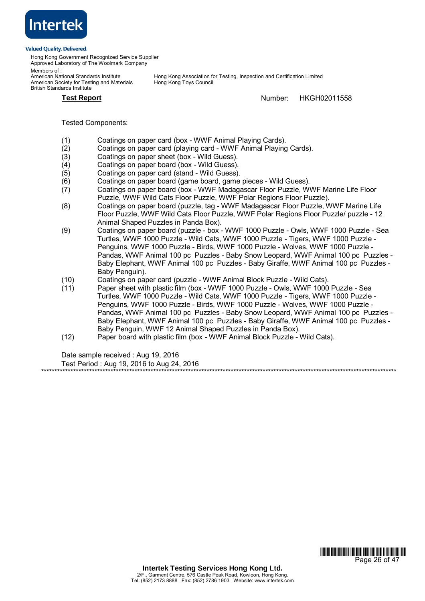

Hong Kong Government Recognized Service Supplier Approved Laboratory of The Woolmark Company

Members of :<br>American National Standards Institute American Society for Testing and Materials British Standards Institute

Hong Kong Association for Testing, Inspection and Certification Limited<br>Hong Kong Toys Council

**Test Report** Number: HKGH02011558

\*\*\*\*\*\*\*\*\*\*\*\*\*\*\*\*\*\*\*\*\*\*\*\*\*\*\*\*\*\*\*\*\*\*\*\*\*\*\*\*\*\*\*\*\*\*\*\*\*\*\*\*\*\*\*\*\*\*\*\*\*\*\*\*\*\*\*\*\*\*\*\*\*\*\*\*\*\*\*\*\*\*\*\*\*\*\*\*\*\*\*\*\*\*\*\*\*\*\*\*\*\*\*\*\*\*\*\*\*\*\*\*\*\*\*\*\*\*\*\*\*\*\*\*\*\*\*\*\*\*\*\*\*

Tested Components:

- (1) Coatings on paper card (box WWF Animal Playing Cards).
- (2) Coatings on paper card (playing card WWF Animal Playing Cards).
- (3) Coatings on paper sheet (box Wild Guess).
- (4) Coatings on paper board (box Wild Guess).
- (5) Coatings on paper card (stand Wild Guess).
- (6) Coatings on paper board (game board, game pieces Wild Guess).
- (7) Coatings on paper board (box WWF Madagascar Floor Puzzle, WWF Marine Life Floor Puzzle, WWF Wild Cats Floor Puzzle, WWF Polar Regions Floor Puzzle).
- (8) Coatings on paper board (puzzle, tag WWF Madagascar Floor Puzzle, WWF Marine Life Floor Puzzle, WWF Wild Cats Floor Puzzle, WWF Polar Regions Floor Puzzle/ puzzle - 12 Animal Shaped Puzzles in Panda Box).
- (9) Coatings on paper board (puzzle box WWF 1000 Puzzle Owls, WWF 1000 Puzzle Sea Turtles, WWF 1000 Puzzle - Wild Cats, WWF 1000 Puzzle - Tigers, WWF 1000 Puzzle - Penguins, WWF 1000 Puzzle - Birds, WWF 1000 Puzzle - Wolves, WWF 1000 Puzzle - Pandas, WWF Animal 100 pc Puzzles - Baby Snow Leopard, WWF Animal 100 pc Puzzles - Baby Elephant, WWF Animal 100 pc Puzzles - Baby Giraffe, WWF Animal 100 pc Puzzles - Baby Penguin).
- (10) Coatings on paper card (puzzle WWF Animal Block Puzzle Wild Cats).
- (11) Paper sheet with plastic film (box WWF 1000 Puzzle Owls, WWF 1000 Puzzle Sea Turtles, WWF 1000 Puzzle - Wild Cats, WWF 1000 Puzzle - Tigers, WWF 1000 Puzzle - Penguins, WWF 1000 Puzzle - Birds, WWF 1000 Puzzle - Wolves, WWF 1000 Puzzle - Pandas, WWF Animal 100 pc Puzzles - Baby Snow Leopard, WWF Animal 100 pc Puzzles - Baby Elephant, WWF Animal 100 pc Puzzles - Baby Giraffe, WWF Animal 100 pc Puzzles - Baby Penguin, WWF 12 Animal Shaped Puzzles in Panda Box).
- (12) Paper board with plastic film (box WWF Animal Block Puzzle Wild Cats).

Date sample received : Aug 19, 2016

Test Period : Aug 19, 2016 to Aug 24, 2016

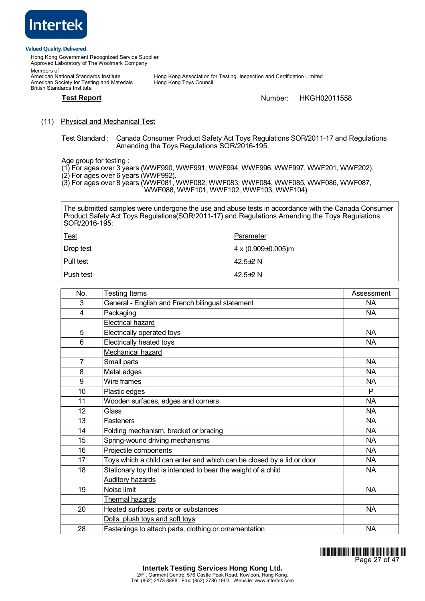

Hong Kong Government Recognized Service Supplier Approved Laboratory of The Woolmark Company Members of :<br>American National Standards Institute Hong Kong Association for Testing, Inspection and Certification Limited<br>Hong Kong Toys Council American Society for Testing and Materials British Standards Institute

# **Test Report** Number: HKGH02011558

# (11) Physical and Mechanical Test

Test Standard : Canada Consumer Product Safety Act Toys Regulations SOR/2011-17 and Regulations Amending the Toys Regulations SOR/2016-195.

Age group for testing :

- (1) For ages over 3 years (WWF990, WWF991, WWF994, WWF996, WWF997, WWF201, WWF202).
- (2) For ages over 6 years (WWF992).
- (3) For ages over 8 years (WWF081, WWF082, WWF083, WWF084, WWF085, WWF086, WWF087,
	- WWF088, WWF101, WWF102, WWF103, WWF104).

The submitted samples were undergone the use and abuse tests in accordance with the Canada Consumer Product Safety Act Toys Regulations (SOR/2011-17) and Regulations Amending the Toys Regulations SOR/2016-195:

| <u>Test</u> | Parameter                |
|-------------|--------------------------|
| Drop test   | 4 x (0.909 $\pm$ 0.005)m |
| Pull test   | 42.5 $\pm$ 2 N           |
| l Push test | 42.5 $\pm$ 2 N           |

| No.            | <b>Testing Items</b>                                                  | Assessment |
|----------------|-----------------------------------------------------------------------|------------|
| 3              | General - English and French bilingual statement                      | NA.        |
| 4              | Packaging                                                             | NA.        |
|                | <b>Electrical hazard</b>                                              |            |
| 5              | Electrically operated toys                                            | <b>NA</b>  |
| 6              | Electrically heated toys                                              | NA.        |
|                | Mechanical hazard                                                     |            |
| $\overline{7}$ | Small parts                                                           | <b>NA</b>  |
| 8              | Metal edges                                                           | <b>NA</b>  |
| 9              | Wire frames                                                           | <b>NA</b>  |
| 10             | Plastic edges                                                         | P          |
| 11             | Wooden surfaces, edges and corners                                    | <b>NA</b>  |
| 12             | Glass                                                                 | <b>NA</b>  |
| 13             | Fasteners                                                             | <b>NA</b>  |
| 14             | Folding mechanism, bracket or bracing                                 | <b>NA</b>  |
| 15             | Spring-wound driving mechanisms                                       | <b>NA</b>  |
| 16             | Projectile components                                                 | <b>NA</b>  |
| 17             | Toys which a child can enter and which can be closed by a lid or door | <b>NA</b>  |
| 18             | Stationary toy that is intended to bear the weight of a child         | NA.        |
|                | <b>Auditory hazards</b>                                               |            |
| 19             | Noise limit                                                           | <b>NA</b>  |
|                | Thermal hazards                                                       |            |
| 20             | Heated surfaces, parts or substances                                  | NA         |
|                | Dolls, plush toys and soft toys                                       |            |
| 28             | Fastenings to attach parts, clothing or ornamentation                 | <b>NA</b>  |

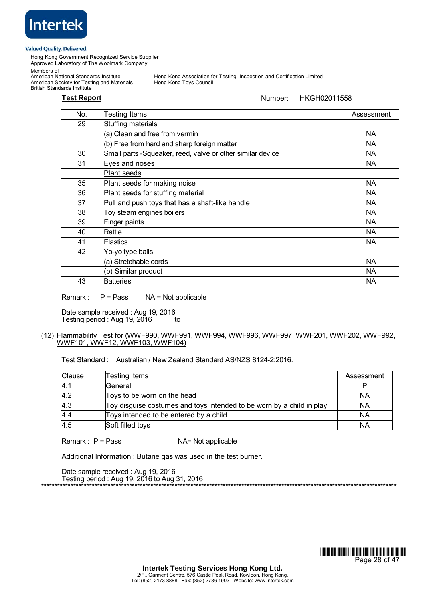

Hong Kong Government Recognized Service Supplier Approved Laboratory of The Woolmark Company

Members of :

American National Standards Institute<br>American Society for Testing and Materials British Standards Institute

Hong Kong Association for Testing, Inspection and Certification Limited<br>Hong Kong Toys Council

# **Test Report** Number: HKGH02011558

| No. | <b>Testing Items</b>                                       | Assessment |
|-----|------------------------------------------------------------|------------|
| 29  | Stuffing materials                                         |            |
|     | (a) Clean and free from vermin                             | <b>NA</b>  |
|     | (b) Free from hard and sharp foreign matter                | <b>NA</b>  |
| 30  | Small parts -Squeaker, reed, valve or other similar device | <b>NA</b>  |
| 31  | Eyes and noses                                             | NA         |
|     | Plant seeds                                                |            |
| 35  | Plant seeds for making noise                               | <b>NA</b>  |
| 36  | Plant seeds for stuffing material                          | <b>NA</b>  |
| 37  | Pull and push toys that has a shaft-like handle            | NA         |
| 38  | Toy steam engines boilers                                  | <b>NA</b>  |
| 39  | Finger paints                                              | <b>NA</b>  |
| 40  | Rattle                                                     | <b>NA</b>  |
| 41  | <b>Elastics</b>                                            | <b>NA</b>  |
| 42  | Yo-yo type balls                                           |            |
|     | (a) Stretchable cords                                      | <b>NA</b>  |
|     | (b) Similar product                                        | NA         |
| 43  | <b>Batteries</b>                                           | <b>NA</b>  |

Remark :  $P = Pass$   $NA = Not applicable$ 

Date sample received : Aug 19, 2016 Testing period : Aug 19,  $2016$  to

# (12) Flammability Test for (WWF990, WWF991, WWF994, WWF996, WWF997, WWF201, WWF202, WWF992, WWF101, WWF12, WWF103, WWF104)

Test Standard : Australian / New Zealand Standard AS/NZS 8124-2:2016.

| Clause | Testing items                                                         | Assessment |
|--------|-----------------------------------------------------------------------|------------|
| 4.1    | General                                                               |            |
| 4.2    | Toys to be worn on the head                                           | NA         |
| 4.3    | Toy disguise costumes and toys intended to be worn by a child in play | NA         |
| 4.4    | Toys intended to be entered by a child                                | <b>NA</b>  |
| 4.5    | Soft filled toys                                                      | <b>NA</b>  |

 $Remark: P = Pass$   $NA = Not applicable$ 

Additional Information : Butane gas was used in the test burner.

Date sample received : Aug 19, 2016 Testing period : Aug 19, 2016 to Aug 31, 2016



\*\*\*\*\*\*\*\*\*\*\*\*\*\*\*\*\*\*\*\*\*\*\*\*\*\*\*\*\*\*\*\*\*\*\*\*\*\*\*\*\*\*\*\*\*\*\*\*\*\*\*\*\*\*\*\*\*\*\*\*\*\*\*\*\*\*\*\*\*\*\*\*\*\*\*\*\*\*\*\*\*\*\*\*\*\*\*\*\*\*\*\*\*\*\*\*\*\*\*\*\*\*\*\*\*\*\*\*\*\*\*\*\*\*\*\*\*\*\*\*\*\*\*\*\*\*\*\*\*\*\*\*\*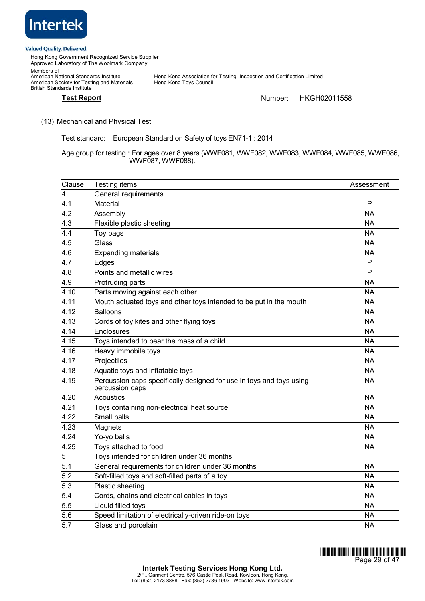

Hong Kong Government Recognized Service Supplier Approved Laboratory of The Woolmark Company Members of : Hong Kong Association for Testing, Inspection and Certification Limited<br>Hong Kong Toys Council Members or .<br>American National Standards Institute<br>American Society for Testing and Materials British Standards Institute

# **Test Report Number:** HKGH02011558

# (13) Mechanical and Physical Test

Test standard: European Standard on Safety of toys EN71-1 : 2014

Age group for testing : For ages over 8 years (WWF081, WWF082, WWF083, WWF084, WWF085, WWF086, WWF087, WWF088).

| Clause                  | Testing items                                                                           | Assessment |
|-------------------------|-----------------------------------------------------------------------------------------|------------|
| $\overline{\mathbf{4}}$ | General requirements                                                                    |            |
| 4.1                     | Material                                                                                | P          |
| 4.2                     | Assembly                                                                                | <b>NA</b>  |
| 4.3                     | Flexible plastic sheeting                                                               | <b>NA</b>  |
| 4.4                     | Toy bags                                                                                | <b>NA</b>  |
| 4.5                     | Glass                                                                                   | <b>NA</b>  |
| 4.6                     | <b>Expanding materials</b>                                                              | <b>NA</b>  |
| 4.7                     | Edges                                                                                   | P          |
| 4.8                     | Points and metallic wires                                                               | P          |
| 4.9                     | Protruding parts                                                                        | <b>NA</b>  |
| 4.10                    | Parts moving against each other                                                         | <b>NA</b>  |
| 4.11                    | Mouth actuated toys and other toys intended to be put in the mouth                      | <b>NA</b>  |
| 4.12                    | <b>Balloons</b>                                                                         | <b>NA</b>  |
| 4.13                    | Cords of toy kites and other flying toys                                                | <b>NA</b>  |
| 4.14                    | Enclosures                                                                              | <b>NA</b>  |
| 4.15                    | Toys intended to bear the mass of a child                                               | <b>NA</b>  |
| 4.16                    | Heavy immobile toys                                                                     | <b>NA</b>  |
| 4.17                    | Projectiles                                                                             | <b>NA</b>  |
| 4.18                    | Aquatic toys and inflatable toys                                                        | <b>NA</b>  |
| 4.19                    | Percussion caps specifically designed for use in toys and toys using<br>percussion caps | <b>NA</b>  |
| 4.20                    | <b>Acoustics</b>                                                                        | <b>NA</b>  |
| 4.21                    | Toys containing non-electrical heat source                                              | <b>NA</b>  |
| 4.22                    | Small balls                                                                             | <b>NA</b>  |
| 4.23                    | Magnets                                                                                 | <b>NA</b>  |
| 4.24                    | Yo-yo balls                                                                             | <b>NA</b>  |
| 4.25                    | Toys attached to food                                                                   | <b>NA</b>  |
| 5                       | Toys intended for children under 36 months                                              |            |
| 5.1                     | General requirements for children under 36 months                                       | <b>NA</b>  |
| 5.2                     | Soft-filled toys and soft-filled parts of a toy                                         | <b>NA</b>  |
| 5.3                     | Plastic sheeting                                                                        | <b>NA</b>  |
| 5.4                     | Cords, chains and electrical cables in toys                                             | <b>NA</b>  |
| 5.5                     | Liquid filled toys                                                                      | <b>NA</b>  |
| 5.6                     | Speed limitation of electrically-driven ride-on toys                                    | <b>NA</b>  |
| 5.7                     | Glass and porcelain                                                                     | <b>NA</b>  |

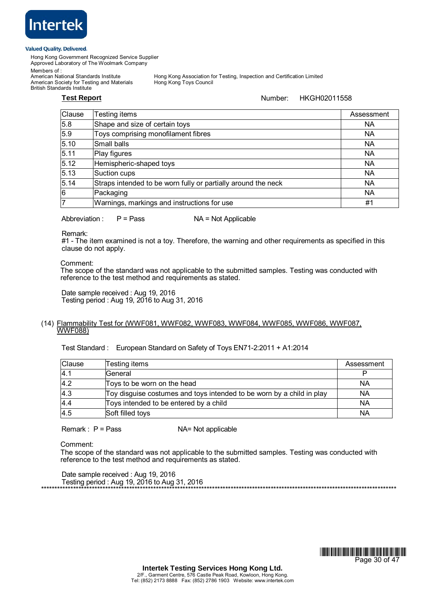

Hong Kong Government Recognized Service Supplier Approved Laboratory of The Woolmark Company

Members of :<br>American National Standards Institute

American Society for Testing and Materials British Standards Institute

Hong Kong Association for Testing, Inspection and Certification Limited<br>Hong Kong Toys Council

# **Test Report** Number: HKGH02011558

| Clause | Testing items                                                 | Assessment |
|--------|---------------------------------------------------------------|------------|
| 5.8    | Shape and size of certain toys                                | <b>NA</b>  |
| 5.9    | Toys comprising monofilament fibres                           | <b>NA</b>  |
| 5.10   | Small balls                                                   | <b>NA</b>  |
| 5.11   | Play figures                                                  | <b>NA</b>  |
| 5.12   | Hemispheric-shaped toys                                       | <b>NA</b>  |
| 5.13   | Suction cups                                                  | <b>NA</b>  |
| 5.14   | Straps intended to be worn fully or partially around the neck | <b>NA</b>  |
| 6      | Packaging                                                     | <b>NA</b>  |
|        | Warnings, markings and instructions for use                   | #1         |

Abbreviation :  $P = Pass$   $NA = Not Applicable$ 

Remark:

 #1 - The item examined is not a toy. Therefore, the warning and other requirements as specified in this clause do not apply.

Comment:

The scope of the standard was not applicable to the submitted samples. Testing was conducted with reference to the test method and requirements as stated.

Date sample received : Aug 19, 2016 Testing period : Aug 19, 2016 to Aug 31, 2016

# (14) Flammability Test for (WWF081, WWF082, WWF083, WWF084, WWF085, WWF086, WWF087, WWF088)

Test Standard : European Standard on Safety of Toys EN71-2:2011 + A1:2014

| Clause | Testing items                                                         | Assessment |
|--------|-----------------------------------------------------------------------|------------|
| 4.1    | General                                                               |            |
| 4.2    | Toys to be worn on the head                                           | NA         |
| 4.3    | Toy disguise costumes and toys intended to be worn by a child in play | NA         |
| 4.4    | Toys intended to be entered by a child                                | <b>NA</b>  |
| 4.5    | Soft filled toys                                                      | NA         |

 $Remark: P = Pass$   $NA = Not applicable$ 

Comment:

 The scope of the standard was not applicable to the submitted samples. Testing was conducted with reference to the test method and requirements as stated.

Date sample received : Aug 19, 2016 Testing period : Aug 19, 2016 to Aug 31, 2016



\*\*\*\*\*\*\*\*\*\*\*\*\*\*\*\*\*\*\*\*\*\*\*\*\*\*\*\*\*\*\*\*\*\*\*\*\*\*\*\*\*\*\*\*\*\*\*\*\*\*\*\*\*\*\*\*\*\*\*\*\*\*\*\*\*\*\*\*\*\*\*\*\*\*\*\*\*\*\*\*\*\*\*\*\*\*\*\*\*\*\*\*\*\*\*\*\*\*\*\*\*\*\*\*\*\*\*\*\*\*\*\*\*\*\*\*\*\*\*\*\*\*\*\*\*\*\*\*\*\*\*\*\*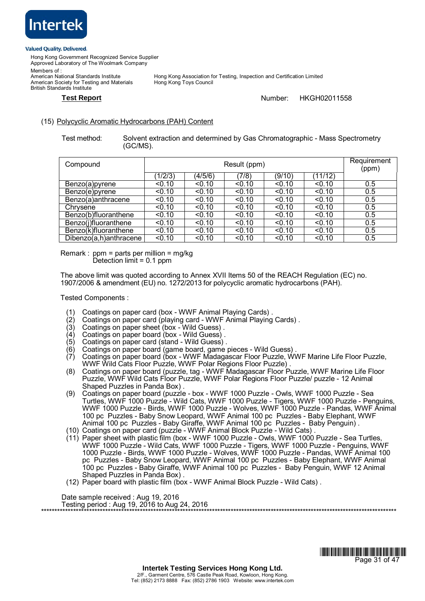

British Standards Institute

Hong Kong Government Recognized Service Supplier Approved Laboratory of The Woolmark Company Members of :<br>American National Standards Institute American Society for Testing and Materials

Hong Kong Association for Testing, Inspection and Certification Limited<br>Hong Kong Toys Council

# **Test Report** Number: HKGH02011558

# (15) Polycyclic Aromatic Hydrocarbons (PAH) Content

Test method: Solvent extraction and determined by Gas Chromatographic - Mass Spectrometry (GC/MS).

| Compound               | Result (ppm) |         |        |        |         | Requirement<br>(ppm) |
|------------------------|--------------|---------|--------|--------|---------|----------------------|
|                        | 1/2/3        | (4/5/6) | (7/8)  | (9/10) | (11/12) |                      |
| Benzo(a)pyrene         | < 0.10       | < 0.10  | < 0.10 | < 0.10 | < 0.10  | 0.5                  |
| Benzo(e)pyrene         | < 0.10       | < 0.10  | < 0.10 | < 0.10 | < 0.10  | 0.5                  |
| Benzo(a)anthracene     | < 0.10       | < 0.10  | < 0.10 | < 0.10 | < 0.10  | 0.5                  |
| Chrysene               | < 0.10       | < 0.10  | < 0.10 | < 0.10 | < 0.10  | 0.5                  |
| Benzo(b)fluoranthene   | < 0.10       | < 0.10  | < 0.10 | < 0.10 | < 0.10  | 0.5                  |
| Benzo(j)fluoranthene   | < 0.10       | < 0.10  | < 0.10 | < 0.10 | < 0.10  | 0.5                  |
| Benzo(k)fluoranthene   | < 0.10       | < 0.10  | < 0.10 | < 0.10 | < 0.10  | 0.5                  |
| Dibenzo(a,h)anthracene | < 0.10       | < 0.10  | < 0.10 | < 0.10 | < 0.10  | 0.5                  |

Remark : ppm = parts per million = mg/kg Detection limit = 0.1 ppm

The above limit was quoted according to Annex XVII Items 50 of the REACH Regulation (EC) no. 1907/2006 & amendment (EU) no. 1272/2013 for polycyclic aromatic hydrocarbons (PAH).

Tested Components :

- Coatings on paper card (box WWF Animal Playing Cards).
- (2) Coatings on paper card (playing card WWF Animal Playing Cards) .
- (3) Coatings on paper sheet (box Wild Guess) .
- (4) Coatings on paper board (box Wild Guess) .
- (5) Coatings on paper card (stand Wild Guess) .
- (6) Coatings on paper board (game board, game pieces Wild Guess) .
- (7) Coatings on paper board (box WWF Madagascar Floor Puzzle, WWF Marine Life Floor Puzzle, WWF Wild Cats Floor Puzzle, WWF Polar Regions Floor Puzzle) .
- (8) Coatings on paper board (puzzle, tag WWF Madagascar Floor Puzzle, WWF Marine Life Floor Puzzle, WWF Wild Cats Floor Puzzle, WWF Polar Regions Floor Puzzle/ puzzle - 12 Animal Shaped Puzzles in Panda Box) .
- (9) Coatings on paper board (puzzle box WWF 1000 Puzzle Owls, WWF 1000 Puzzle Sea Turtles, WWF 1000 Puzzle - Wild Cats, WWF 1000 Puzzle - Tigers, WWF 1000 Puzzle - Penguins, WWF 1000 Puzzle - Birds, WWF 1000 Puzzle - Wolves, WWF 1000 Puzzle - Pandas, WWF Animal 100 pc Puzzles - Baby Snow Leopard, WWF Animal 100 pc Puzzles - Baby Elephant, WWF Animal 100 pc Puzzles - Baby Giraffe, WWF Animal 100 pc Puzzles - Baby Penguin) .
- (10) Coatings on paper card (puzzle WWF Animal Block Puzzle Wild Cats) .
- (11) Paper sheet with plastic film (box WWF 1000 Puzzle Owls, WWF 1000 Puzzle Sea Turtles, WWF 1000 Puzzle - Wild Cats, WWF 1000 Puzzle - Tigers, WWF 1000 Puzzle - Penguins, WWF 1000 Puzzle - Birds, WWF 1000 Puzzle - Wolves, WWF 1000 Puzzle - Pandas, WWF Animal 100 pc Puzzles - Baby Snow Leopard, WWF Animal 100 pc Puzzles - Baby Elephant, WWF Animal 100 pc Puzzles - Baby Giraffe, WWF Animal 100 pc Puzzles - Baby Penguin, WWF 12 Animal Shaped Puzzles in Panda Box) .
- (12) Paper board with plastic film (box WWF Animal Block Puzzle Wild Cats) .

Date sample received : Aug 19, 2016 Testing period : Aug 19, 2016 to Aug 24, 2016 \*\*\*\*\*\*\*\*\*\*\*\*\*\*\*\*\*\*\*\*\*\*\*\*\*\*\*\*\*\*\*\*\*\*\*\*\*\*\*\*\*\*\*\*\*\*\*\*\*\*\*\*\*\*\*\*\*\*\*\*\*\*\*\*\*\*\*\*\*\*\*\*\*\*\*\*\*\*\*\*\*\*\*\*\*\*\*\*\*\*\*\*\*\*\*\*\*\*\*\*\*\*\*\*\*\*\*\*\*\*\*\*\*\*\*\*\*\*\*\*\*\*\*\*\*\*\*\*\*\*\*\*\*

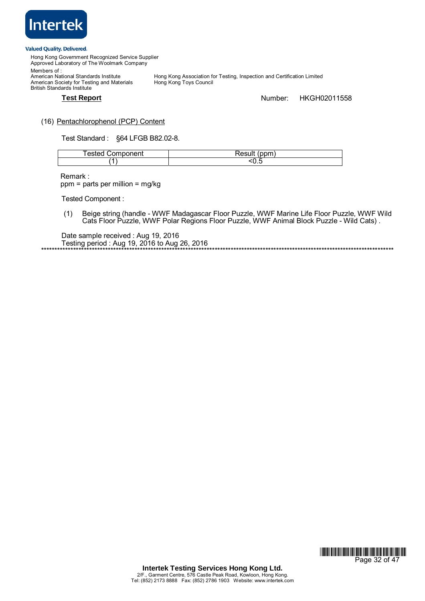

Hong Kong Government Recognized Service Supplier Approved Laboratory of The Woolmark Company Members of : Hong Kong Association for Testing, Inspection and Certification Limited<br>Hong Kong Toys Council American National Standards Institute<br>American Society for Testing and Materials British Standards Institute

# **Test Report** Number: HKGH02011558

# (16) Pentachlorophenol (PCP) Content

Test Standard : ß64 LFGB B82.02-8.

| l esteu<br>∵omponent | $\sim$<br>≺esuıt<br>4H F<br>н |
|----------------------|-------------------------------|
|                      | ັບ.ພ                          |

Remark : ppm = parts per million = mg/kg

Tested Component :

(1) Beige string (handle - WWF Madagascar Floor Puzzle, WWF Marine Life Floor Puzzle, WWF Wild Cats Floor Puzzle, WWF Polar Regions Floor Puzzle, WWF Animal Block Puzzle - Wild Cats).

Date sample received : Aug 19, 2016 Testing period : Aug 19, 2016 to Aug 26, 2016 \*\*\*\*\*\*\*\*\*\*\*\*\*\*\*\*\*\*\*\*\*\*\*\*\*\*\*\*\*\*\*\*\*\*\*\*\*\*\*\*\*\*\*\*\*\*\*\*\*\*\*\*\*\*\*\*\*\*\*\*\*\*\*\*\*\*\*\*\*\*\*\*\*\*\*\*\*\*\*\*\*\*\*\*\*\*\*\*\*\*\*\*\*\*\*\*\*\*\*\*\*\*\*\*\*\*\*\*\*\*\*\*\*\*\*\*\*\*\*\*\*\*\*\*\*\*\*\*\*\*\*\*

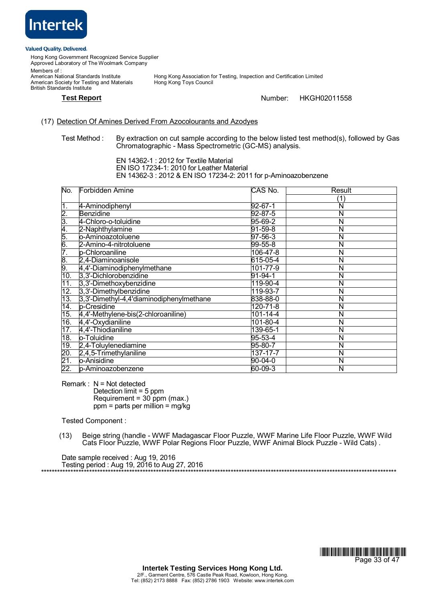

Hong Kong Government Recognized Service Supplier Approved Laboratory of The Woolmark Company Members of :<br>American National Standards Institute

American Society for Testing and Materials British Standards Institute

Hong Kong Association for Testing, Inspection and Certification Limited<br>Hong Kong Toys Council

### **Test Report** Number: HKGH02011558

# (17) Detection Of Amines Derived From Azocolourants and Azodyes

Test Method : By extraction on cut sample according to the below listed test method(s), followed by Gas Chromatographic - Mass Spectrometric (GC-MS) analysis.

 EN 14362-1 : 2012 for Textile Material EN ISO 17234-1: 2010 for Leather Material EN 14362-3 : 2012 & EN ISO 17234-2: 2011 for p-Aminoazobenzene

| No.                        | Forbidden Amine                          | CAS No.        | Result |
|----------------------------|------------------------------------------|----------------|--------|
|                            |                                          |                | 1      |
| $\overline{1}$ .           | 4-Aminodiphenyl                          | 92-67-1        | N      |
|                            | <b>Benzidine</b>                         | 92-87-5        | N      |
|                            | 4-Chloro-o-toluidine                     | 95-69-2        | N      |
| $2.3 + 4.5$<br>$6.5 + 5.6$ | 2-Naphthylamine                          | $91 - 59 - 8$  | Ν      |
|                            | o-Aminoazotoluene                        | 97-56-3        | N      |
|                            | 2-Amino-4-nitrotoluene                   | $99 - 55 - 8$  | Ñ      |
| 7.                         | p-Chloroaniline                          | 106-47-8       | N      |
| 0.<br>9.                   | 2,4-Diaminoanisole                       | 615-05-4       | N      |
|                            | 4,4'-Diaminodiphenylmethane              | 101-77-9       | Ν      |
| 10.                        | 3,3'-Dichlorobenzidine                   | 91-94-1        | N      |
| 11.                        | 3,3'-Dimethoxybenzidine                  | 119-90-4       | Ñ      |
| 12.                        | 3,3'-Dimethylbenzidine                   | 119-93-7       | Ñ      |
| 13.                        | 3,3'-Dimethyl-4,4'diaminodiphenylmethane | 838-88-0       | Ñ      |
| 14.                        | p-Cresidine                              | 120-71-8       | N      |
| 15.                        | 4,4'-Methylene-bis(2-chloroaniline)      | 101-14-4       | Ñ      |
| 16.                        | 4,4'-Oxydianiline                        | $101 - 80 - 4$ | N      |
| 17.                        | 4,4'-Thiodianiline                       | 139-65-1       | Ν      |
| 18.                        | o-Toluidine                              | $95 - 53 - 4$  | N      |
| 19.                        | 2,4-Toluylenediamine                     | 95-80-7        | N      |
| 20.                        | 2,4,5-Trimethylaniline                   | $137 - 17 - 7$ | Ν      |
| 21.                        | o-Anisidine                              | 90-04-0        | Ν      |
| 22.                        | p-Aminoazobenzene                        | 60-09-3        | N      |

Remark :  $N = Not detected$ 

Detection limit = 5 ppm Requirement = 30 ppm (max.)  $ppm$  = parts per million = mg/kg

Tested Component :

(13) Beige string (handle - WWF Madagascar Floor Puzzle, WWF Marine Life Floor Puzzle, WWF Wild Cats Floor Puzzle, WWF Polar Regions Floor Puzzle, WWF Animal Block Puzzle - Wild Cats) .

Date sample received : Aug 19, 2016 Testing period : Aug 19, 2016 to Aug 27, 2016 \*\*\*\*\*\*\*\*\*\*\*\*\*\*\*\*\*\*\*\*\*\*\*\*\*\*\*\*\*\*\*\*\*\*\*\*\*\*\*\*\*\*\*\*\*\*\*\*\*\*\*\*\*\*\*\*\*\*\*\*\*\*\*\*\*\*\*\*\*\*\*\*\*\*\*\*\*\*\*\*\*\*\*\*\*\*\*\*\*\*\*\*\*\*\*\*\*\*\*\*\*\*\*\*\*\*\*\*\*\*\*\*\*\*\*\*\*\*\*\*\*\*\*\*\*\*\*\*\*\*\*\*\*

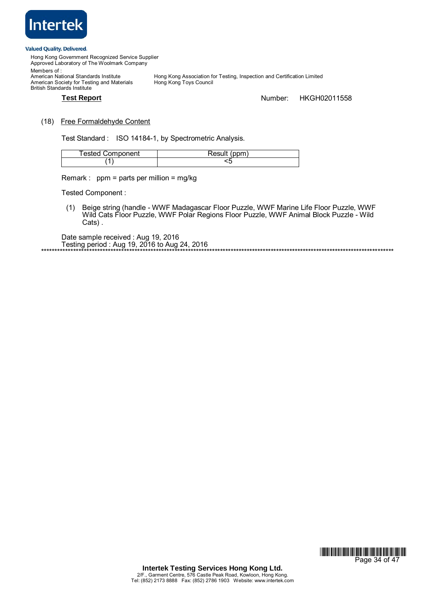

Hong Kong Government Recognized Service Supplier Approved Laboratory of The Woolmark Company Members of : Hong Kong Association for Testing, Inspection and Certification Limited<br>Hong Kong Toys Council American National Standards Institute<br>American Society for Testing and Materials British Standards Institute **Test Report** Number: HKGH02011558

# (18) Free Formaldehyde Content

Test Standard : ISO 14184-1, by Spectrometric Analysis.

| <b>Tested Component</b> | Result (ppm) |
|-------------------------|--------------|
|                         |              |

Remark : ppm = parts per million = mg/kg

Tested Component :

(1) Beige string (handle - WWF Madagascar Floor Puzzle, WWF Marine Life Floor Puzzle, WWF Wild Cats Floor Puzzle, WWF Polar Regions Floor Puzzle, WWF Animal Block Puzzle - Wild Cats) .

\*\*\*\*\*\*\*\*\*\*\*\*\*\*\*\*\*\*\*\*\*\*\*\*\*\*\*\*\*\*\*\*\*\*\*\*\*\*\*\*\*\*\*\*\*\*\*\*\*\*\*\*\*\*\*\*\*\*\*\*\*\*\*\*\*\*\*\*\*\*\*\*\*\*\*\*\*\*\*\*\*\*\*\*\*\*\*\*\*\*\*\*\*\*\*\*\*\*\*\*\*\*\*\*\*\*\*\*\*\*\*\*\*\*\*\*\*\*\*\*\*\*\*\*\*\*\*\*\*\*\*\*

Date sample received : Aug 19, 2016 Testing period : Aug 19, 2016 to Aug 24, 2016

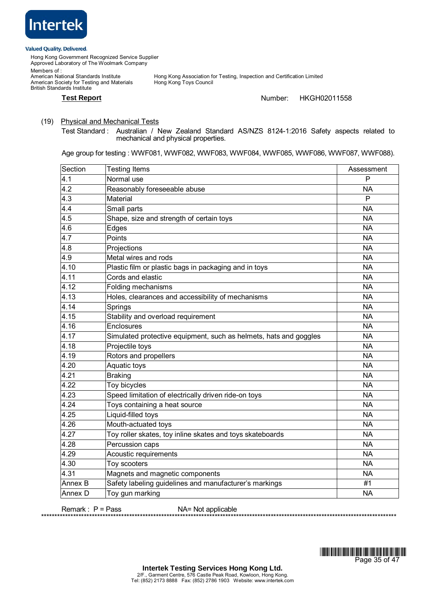

Hong Kong Government Recognized Service Supplier Approved Laboratory of The Woolmark Company Members of : Hong Kong Association for Testing, Inspection and Certification Limited<br>Hong Kong Toys Council American National Standards Institute<br>American Society for Testing and Materials British Standards Institute

### **Test Report** Number: HKGH02011558

# (19) Physical and Mechanical Tests

Test Standard : Australian / New Zealand Standard AS/NZS 8124-1:2016 Safety aspects related to mechanical and physical properties.

Age group for testing : WWF081, WWF082, WWF083, WWF084, WWF085, WWF086, WWF087, WWF088).

| Section          | <b>Testing Items</b>                                              | Assessment   |
|------------------|-------------------------------------------------------------------|--------------|
| 4.1              | Normal use                                                        | P            |
| $4.\overline{2}$ | Reasonably foreseeable abuse                                      | <b>NA</b>    |
| 4.3              | Material                                                          | $\mathsf{P}$ |
| 4.4              | Small parts                                                       | <b>NA</b>    |
| 4.5              | Shape, size and strength of certain toys                          | <b>NA</b>    |
| 4.6              | Edges                                                             | <b>NA</b>    |
| 4.7              | Points                                                            | <b>NA</b>    |
| 4.8              | Projections                                                       | <b>NA</b>    |
| 4.9              | Metal wires and rods                                              | <b>NA</b>    |
| 4.10             | Plastic film or plastic bags in packaging and in toys             | <b>NA</b>    |
| 4.11             | Cords and elastic                                                 | <b>NA</b>    |
| 4.12             | Folding mechanisms                                                | <b>NA</b>    |
| 4.13             | Holes, clearances and accessibility of mechanisms                 | <b>NA</b>    |
| 4.14             | Springs                                                           | <b>NA</b>    |
| 4.15             | Stability and overload requirement                                | <b>NA</b>    |
| 4.16             | Enclosures                                                        | <b>NA</b>    |
| 4.17             | Simulated protective equipment, such as helmets, hats and goggles | <b>NA</b>    |
| 4.18             | Projectile toys                                                   | <b>NA</b>    |
| 4.19             | Rotors and propellers                                             | <b>NA</b>    |
| 4.20             | Aquatic toys                                                      | <b>NA</b>    |
| 4.21             | <b>Braking</b>                                                    | <b>NA</b>    |
| 4.22             | Toy bicycles                                                      | <b>NA</b>    |
| 4.23             | Speed limitation of electrically driven ride-on toys              | <b>NA</b>    |
| 4.24             | Toys containing a heat source                                     | <b>NA</b>    |
| 4.25             | Liquid-filled toys                                                | <b>NA</b>    |
| 4.26             | Mouth-actuated toys                                               | <b>NA</b>    |
| 4.27             | Toy roller skates, toy inline skates and toys skateboards         | <b>NA</b>    |
| 4.28             | Percussion caps                                                   | <b>NA</b>    |
| 4.29             | Acoustic requirements                                             | <b>NA</b>    |
| 4.30             | Toy scooters                                                      | <b>NA</b>    |
| 4.31             | Magnets and magnetic components                                   | <b>NA</b>    |
| Annex B          | Safety labeling guidelines and manufacturer's markings            | #1           |
| Annex D          | Toy gun marking                                                   | <b>NA</b>    |

Remark : P = Pass NA= Not applicable



\*\*\*\*\*\*\*\*\*\*\*\*\*\*\*\*\*\*\*\*\*\*\*\*\*\*\*\*\*\*\*\*\*\*\*\*\*\*\*\*\*\*\*\*\*\*\*\*\*\*\*\*\*\*\*\*\*\*\*\*\*\*\*\*\*\*\*\*\*\*\*\*\*\*\*\*\*\*\*\*\*\*\*\*\*\*\*\*\*\*\*\*\*\*\*\*\*\*\*\*\*\*\*\*\*\*\*\*\*\*\*\*\*\*\*\*\*\*\*\*\*\*\*\*\*\*\*\*\*\*\*\*\*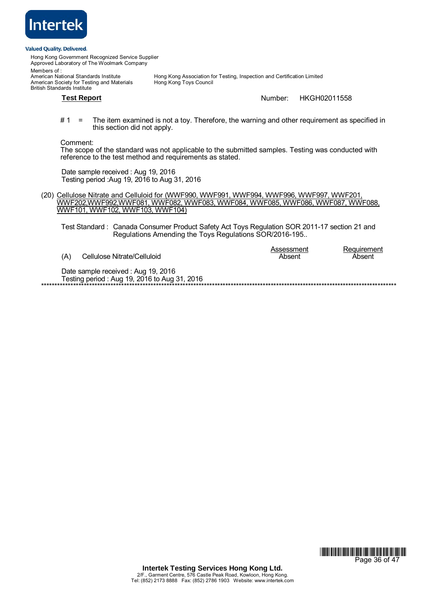

Hong Kong Government Recognized Service Supplier Approved Laboratory of The Woolmark Company Members of :<br>American National Standards Institute Hong Kong Association for Testing, Inspection and Certification Limited<br>Hong Kong Toys Council American Society for Testing and Materials British Standards Institute **Test Report** Number: HKGH02011558

# 1 = The item examined is not a toy. Therefore, the warning and other requirement as specified in this section did not apply.

Comment:

The scope of the standard was not applicable to the submitted samples. Testing was conducted with reference to the test method and requirements as stated.

Date sample received : Aug 19, 2016 Testing period :Aug 19, 2016 to Aug 31, 2016

(20) Cellulose Nitrate and Celluloid for (WWF990, WWF991, WWF994, WWF996, WWF997, WWF201, WWF202,WWF992,WWF081, WWF082, WWF083, WWF084, WWF085, WWF086, WWF087, WWF088, WWF101, WWF102, WWF103, WWF104)

 Test Standard : Canada Consumer Product Safety Act Toys Regulation SOR 2011-17 section 21 and Regulations Amending the Toys Regulations SOR/2016-195..

Assessment Requirement (A) Cellulose Nitrate/Celluloid (A) Cellulose Nitrate/Celluloid Cellulose Nitrate/Celluloid Date sample received : Aug 19, 2016 \*\*\*\*\*\*\*\*\*\*\*\*\*\*\*\*\*\*\*\*\*\*\*\*\*\*\*\*\*\*\*\*\*\*\*\*\*\*\*\*\*\*\*\*\*\*\*\*\*\*\*\*\*\*\*\*\*\*\*\*\*\*\*\*\*\*\*\*\*\*\*\*\*\*\*\*\*\*\*\*\*\*\*\*\*\*\*\*\*\*\*\*\*\*\*\*\*\*\*\*\*\*\*\*\*\*\*\*\*\*\*\*\*\*\*\*\*\*\*\*\*\*\*\*\*\*\*\*\*\*\*\*\*

Testing period : Aug 19, 2016 to Aug 31, 2016

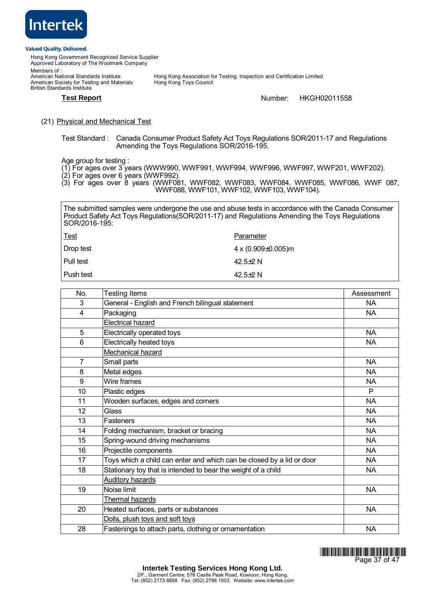

Hong Kong Government Recognized Service Supplier Approved Laboratory of The Woolmark Company Members of :<br>American National Standards Institute Hong Kong Association for Testing, Inspection and Certification Limited<br>Hong Kong Toys Council American Society for Testing and Materials British Standards Institute

**Test Report** Number: HKGH02011558

# (21) Physical and Mechanical Test

Test Standard : Canada Consumer Product Safety Act Toys Regulations SOR/2011-17 and Regulations Amending the Toys Regulations SOR/2016-195.

Age group for testing :

- (1) For ages over 3 years (WWW990, WWF991, WWF994, WWF996, WWF997, WWF201, WWF202).
- (2) For ages over 6 years (WWF992).
- (3) For ages over 8 years (WWF081, WWF082, WWF083, WWF084, WWF085, WWF086, WWF 087, WWF088, WWF101, WWF102, WWF103, WWF104).

The submitted samples were undergone the use and abuse tests in accordance with the Canada Consumer Product Safety Act Toys Regulations (SOR/2011-17) and Regulations Amending the Toys Regulations SOR/2016-195:

| <u>Test</u> | Parameter                |
|-------------|--------------------------|
| Drop test   | 4 x (0.909 $\pm$ 0.005)m |
| Pull test   | 42.5 $\pm$ 2 N           |
| Push test   | 42.5 $\pm$ 2 N           |

| No.            | Testing Items                                                         | Assessment |
|----------------|-----------------------------------------------------------------------|------------|
| 3              | General - English and French bilingual statement                      | NA.        |
| 4              | Packaging                                                             | <b>NA</b>  |
|                | Electrical hazard                                                     |            |
| 5              | Electrically operated toys                                            | <b>NA</b>  |
| 6              | Electrically heated toys                                              | <b>NA</b>  |
|                | Mechanical hazard                                                     |            |
| $\overline{7}$ | Small parts                                                           | <b>NA</b>  |
| 8              | Metal edges                                                           | <b>NA</b>  |
| 9              | Wire frames                                                           | <b>NA</b>  |
| 10             | Plastic edges                                                         | P          |
| 11             | Wooden surfaces, edges and corners                                    | <b>NA</b>  |
| 12             | Glass                                                                 | <b>NA</b>  |
| 13             | <b>Fasteners</b>                                                      | <b>NA</b>  |
| 14             | Folding mechanism, bracket or bracing                                 | <b>NA</b>  |
| 15             | Spring-wound driving mechanisms                                       | <b>NA</b>  |
| 16             | Projectile components                                                 | <b>NA</b>  |
| 17             | Toys which a child can enter and which can be closed by a lid or door | NА         |
| 18             | Stationary toy that is intended to bear the weight of a child         | <b>NA</b>  |
|                | Auditory hazards                                                      |            |
| 19             | Noise limit                                                           | <b>NA</b>  |
|                | Thermal hazards                                                       |            |
| 20             | Heated surfaces, parts or substances                                  | NA.        |
|                | Dolls, plush toys and soft toys                                       |            |
| 28             | Fastenings to attach parts, clothing or ornamentation                 | NA         |

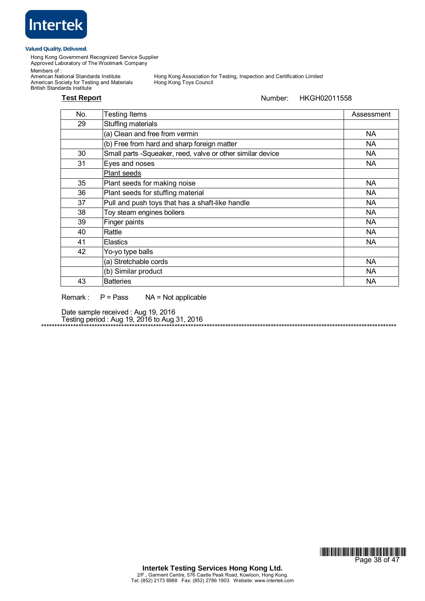

Hong Kong Government Recognized Service Supplier Approved Laboratory of The Woolmark Company

Members of :

Members or .<br>American National Standards Institute<br>American Society for Testing and Materials British Standards Institute

Hong Kong Association for Testing, Inspection and Certification Limited<br>Hong Kong Toys Council

# **Test Report Number:** HKGH02011558

| No. | <b>Testing Items</b>                                       | Assessment |
|-----|------------------------------------------------------------|------------|
| 29  | Stuffing materials                                         |            |
|     | (a) Clean and free from vermin                             | NA.        |
|     | (b) Free from hard and sharp foreign matter                | NA.        |
| 30  | Small parts -Squeaker, reed, valve or other similar device | NA.        |
| 31  | Eyes and noses                                             | NA         |
|     | Plant seeds                                                |            |
| 35  | Plant seeds for making noise                               | NA         |
| 36  | Plant seeds for stuffing material                          | NA         |
| 37  | Pull and push toys that has a shaft-like handle            | <b>NA</b>  |
| 38  | Toy steam engines boilers                                  | NA.        |
| 39  | Finger paints                                              | NA.        |
| 40  | Rattle                                                     | NA.        |
| 41  | <b>Elastics</b>                                            | <b>NA</b>  |
| 42  | Yo-yo type balls                                           |            |
|     | (a) Stretchable cords                                      | <b>NA</b>  |
|     | (b) Similar product                                        | NA         |
| 43  | <b>Batteries</b>                                           | NA         |

Remark : P = Pass NA = Not applicable

Date sample received : Aug 19, 2016 Testing period : Aug 19, 2016 to Aug 31, 2016 \*\*\*\*\*\*\*\*\*\*\*\*\*\*\*\*\*\*\*\*\*\*\*\*\*\*\*\*\*\*\*\*\*\*\*\*\*\*\*\*\*\*\*\*\*\*\*\*\*\*\*\*\*\*\*\*\*\*\*\*\*\*\*\*\*\*\*\*\*\*\*\*\*\*\*\*\*\*\*\*\*\*\*\*\*\*\*\*\*\*\*\*\*\*\*\*\*\*\*\*\*\*\*\*\*\*\*\*\*\*\*\*\*\*\*\*\*\*\*\*\*\*\*\*\*\*\*\*\*\*\*\*\*

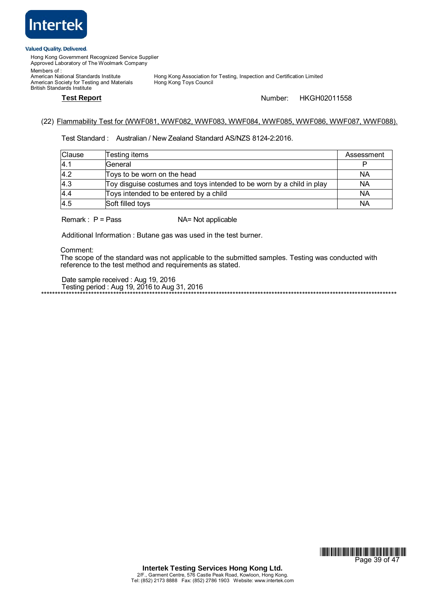

Hong Kong Government Recognized Service Supplier Approved Laboratory of The Woolmark Company Members of :

American National Standards Institute<br>American Society for Testing and Materials British Standards Institute

Hong Kong Association for Testing, Inspection and Certification Limited<br>Hong Kong Toys Council

**Test Report** Number: HKGH02011558

\*\*\*\*\*\*\*\*\*\*\*\*\*\*\*\*\*\*\*\*\*\*\*\*\*\*\*\*\*\*\*\*\*\*\*\*\*\*\*\*\*\*\*\*\*\*\*\*\*\*\*\*\*\*\*\*\*\*\*\*\*\*\*\*\*\*\*\*\*\*\*\*\*\*\*\*\*\*\*\*\*\*\*\*\*\*\*\*\*\*\*\*\*\*\*\*\*\*\*\*\*\*\*\*\*\*\*\*\*\*\*\*\*\*\*\*\*\*\*\*\*\*\*\*\*\*\*\*

# (22) Flammability Test for (WWF081, WWF082, WWF083, WWF084, WWF085, WWF086, WWF087, WWF088).

Test Standard : Australian / New Zealand Standard AS/NZS 8124-2:2016.

| <b>Clause</b> | Testing items                                                         | Assessment |
|---------------|-----------------------------------------------------------------------|------------|
| 4.1           | General                                                               |            |
| 4.2           | Toys to be worn on the head                                           | NA         |
| 4.3           | Toy disguise costumes and toys intended to be worn by a child in play | ΝA         |
| 4.4           | Toys intended to be entered by a child                                | NA         |
| 4.5           | Soft filled toys                                                      | NA         |

Remark : P = Pass NA= Not applicable

Additional Information : Butane gas was used in the test burner.

Comment:

The scope of the standard was not applicable to the submitted samples. Testing was conducted with reference to the test method and requirements as stated.

Date sample received : Aug 19, 2016 Testing period : Aug 19, 2016 to Aug 31, 2016

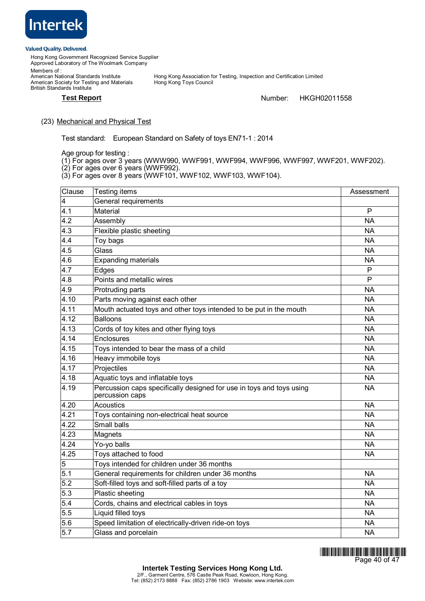

Hong Kong Government Recognized Service Supplier Approved Laboratory of The Woolmark Company Members of :

American National Standards Institute<br>American Society for Testing and Materials British Standards Institute

Hong Kong Association for Testing, Inspection and Certification Limited<br>Hong Kong Toys Council

**Test Report** Number: HKGH02011558

# (23) Mechanical and Physical Test

Test standard: European Standard on Safety of toys EN71-1 : 2014

Age group for testing :

- (1) For ages over 3 years (WWW990, WWF991, WWF994, WWF996, WWF997, WWF201, WWF202).
- (2) For ages over 6 years (WWF992).
- (3) For ages over 8 years (WWF101, WWF102, WWF103, WWF104).

| Clause | Testing items                                                                           | Assessment     |
|--------|-----------------------------------------------------------------------------------------|----------------|
| 4      | General requirements                                                                    |                |
| 4.1    | Material                                                                                | $\mathsf{P}$   |
| 4.2    | Assembly                                                                                | <b>NA</b>      |
| 4.3    | Flexible plastic sheeting                                                               | <b>NA</b>      |
| 4.4    | Toy bags                                                                                | <b>NA</b>      |
| 4.5    | Glass                                                                                   | <b>NA</b>      |
| 4.6    | <b>Expanding materials</b>                                                              | <b>NA</b>      |
| 4.7    | Edges                                                                                   | $\mathsf{P}$   |
| 4.8    | Points and metallic wires                                                               | $\overline{P}$ |
| 4.9    | Protruding parts                                                                        | <b>NA</b>      |
| 4.10   | Parts moving against each other                                                         | <b>NA</b>      |
| 4.11   | Mouth actuated toys and other toys intended to be put in the mouth                      | <b>NA</b>      |
| 4.12   | <b>Balloons</b>                                                                         | <b>NA</b>      |
| 4.13   | Cords of toy kites and other flying toys                                                | <b>NA</b>      |
| 4.14   | Enclosures                                                                              | <b>NA</b>      |
| 4.15   | Toys intended to bear the mass of a child                                               | <b>NA</b>      |
| 4.16   | Heavy immobile toys                                                                     | <b>NA</b>      |
| 4.17   | Projectiles                                                                             | <b>NA</b>      |
| 4.18   | Aquatic toys and inflatable toys                                                        | <b>NA</b>      |
| 4.19   | Percussion caps specifically designed for use in toys and toys using<br>percussion caps | <b>NA</b>      |
| 4.20   | <b>Acoustics</b>                                                                        | <b>NA</b>      |
| 4.21   | Toys containing non-electrical heat source                                              | <b>NA</b>      |
| 4.22   | Small balls                                                                             | <b>NA</b>      |
| 4.23   | Magnets                                                                                 | <b>NA</b>      |
| 4.24   | Yo-yo balls                                                                             | <b>NA</b>      |
| 4.25   | Toys attached to food                                                                   | <b>NA</b>      |
| 5      | Toys intended for children under 36 months                                              |                |
| 5.1    | General requirements for children under 36 months                                       | <b>NA</b>      |
| 5.2    | Soft-filled toys and soft-filled parts of a toy                                         | <b>NA</b>      |
| 5.3    | Plastic sheeting                                                                        | <b>NA</b>      |
| 5.4    | Cords, chains and electrical cables in toys                                             | <b>NA</b>      |
| 5.5    | Liquid filled toys                                                                      | <b>NA</b>      |
| 5.6    | Speed limitation of electrically-driven ride-on toys                                    | <b>NA</b>      |
| 5.7    | Glass and porcelain                                                                     | <b>NA</b>      |

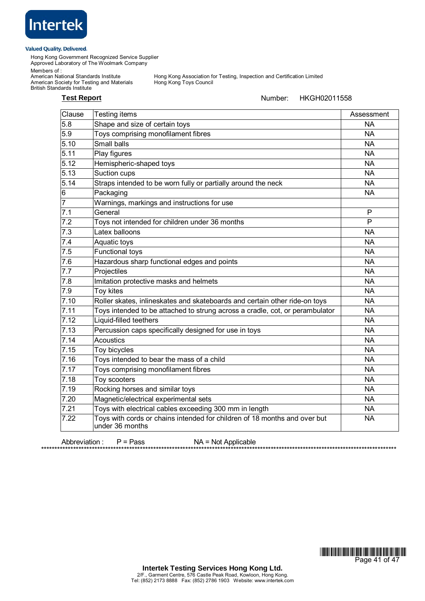

Hong Kong Government Recognized Service Supplier Approved Laboratory of The Woolmark Company

Members of :

American Society for Testing and Materials Hong Kong Toys Council British Standards Institute

Hong Kong Association for Testing, Inspection and Certification Limited<br>Hong Kong Toys Council

# **Test Report Number:** HKGH02011558

| Clause            | Testing items                                                                                | Assessment |
|-------------------|----------------------------------------------------------------------------------------------|------------|
| 5.8               | Shape and size of certain toys                                                               | <b>NA</b>  |
| 5.9               | Toys comprising monofilament fibres                                                          | <b>NA</b>  |
| 5.10              | Small balls                                                                                  | <b>NA</b>  |
| 5.11              | Play figures                                                                                 | <b>NA</b>  |
| 5.12              | Hemispheric-shaped toys                                                                      | <b>NA</b>  |
| 5.13              | Suction cups                                                                                 | <b>NA</b>  |
| 5.14              | Straps intended to be worn fully or partially around the neck                                | <b>NA</b>  |
| 6                 | Packaging                                                                                    | <b>NA</b>  |
| $\overline{7}$    | Warnings, markings and instructions for use                                                  |            |
| 7.1               | General                                                                                      | P          |
| 7.2               | Toys not intended for children under 36 months                                               | P          |
| 7.3               | Latex balloons                                                                               | <b>NA</b>  |
| 7.4               | Aquatic toys                                                                                 | <b>NA</b>  |
| 7.5               | <b>Functional toys</b>                                                                       | <b>NA</b>  |
| 7.6               | Hazardous sharp functional edges and points                                                  | <b>NA</b>  |
| 7.7               | Projectiles                                                                                  | <b>NA</b>  |
| 7.8               | Imitation protective masks and helmets                                                       | <b>NA</b>  |
| 7.9               | Toy kites                                                                                    | <b>NA</b>  |
| 7.10              | Roller skates, inlineskates and skateboards and certain other ride-on toys                   | <b>NA</b>  |
| 7.11              | Toys intended to be attached to strung across a cradle, cot, or perambulator                 | <b>NA</b>  |
| 7.12              | Liquid-filled teethers                                                                       | <b>NA</b>  |
| $\overline{7}.13$ | Percussion caps specifically designed for use in toys                                        | <b>NA</b>  |
| 7.14              | <b>Acoustics</b>                                                                             | <b>NA</b>  |
| 7.15              | Toy bicycles                                                                                 | <b>NA</b>  |
| 7.16              | Toys intended to bear the mass of a child                                                    | <b>NA</b>  |
| 7.17              | Toys comprising monofilament fibres                                                          | <b>NA</b>  |
| 7.18              | Toy scooters                                                                                 | <b>NA</b>  |
| 7.19              | Rocking horses and similar toys                                                              | <b>NA</b>  |
| 7.20              | Magnetic/electrical experimental sets                                                        | <b>NA</b>  |
| $\overline{7.21}$ | Toys with electrical cables exceeding 300 mm in length                                       | <b>NA</b>  |
| 7.22              | Toys with cords or chains intended for children of 18 months and over but<br>under 36 months | <b>NA</b>  |

Abbreviation : P = Pass NA = Not Applicable



\*\*\*\*\*\*\*\*\*\*\*\*\*\*\*\*\*\*\*\*\*\*\*\*\*\*\*\*\*\*\*\*\*\*\*\*\*\*\*\*\*\*\*\*\*\*\*\*\*\*\*\*\*\*\*\*\*\*\*\*\*\*\*\*\*\*\*\*\*\*\*\*\*\*\*\*\*\*\*\*\*\*\*\*\*\*\*\*\*\*\*\*\*\*\*\*\*\*\*\*\*\*\*\*\*\*\*\*\*\*\*\*\*\*\*\*\*\*\*\*\*\*\*\*\*\*\*\*\*\*\*\*\*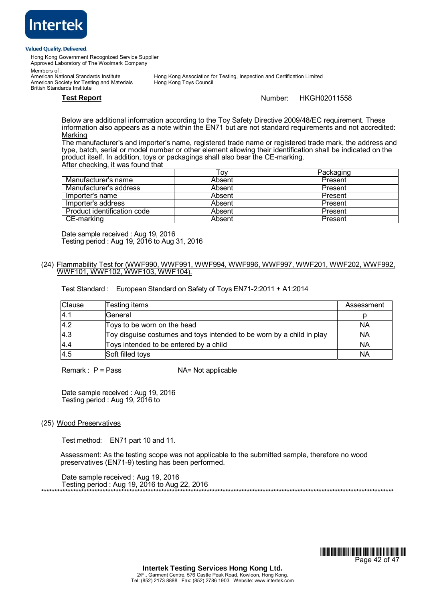

Hong Kong Government Recognized Service Supplier Approved Laboratory of The Woolmark Company

Members of :<br>American National Standards Institute

American Society for Testing and Materials British Standards Institute

Hong Kong Association for Testing, Inspection and Certification Limited<br>Hong Kong Toys Council

**Test Report** Number: HKGH02011558

 Below are additional information according to the Toy Safety Directive 2009/48/EC requirement. These information also appears as a note within the EN71 but are not standard requirements and not accredited: Marking

The manufacturer's and importer's name, registered trade name or registered trade mark, the address and type, batch, serial or model number or other element allowing their identification shall be indicated on the product itself. In addition, toys or packagings shall also bear the CE-marking. After checking, it was found that

|                             | ⊤ον    | Packaging |
|-----------------------------|--------|-----------|
| Manufacturer's name         | Absent | Present   |
| Manufacturer's address      | Absent | Present   |
| Importer's name             | Absent | Present   |
| Importer's address          | Absent | Present   |
| Product identification code | Absent | Present   |
| CE-marking                  | Absent | Present   |

Date sample received : Aug 19, 2016 Testing period : Aug 19, 2016 to Aug 31, 2016

# (24) Flammability Test for (WWF990, WWF991, WWF994, WWF996, WWF997, WWF201, WWF202, WWF992, WWF101, WWF102, WWF103, WWF104).

Test Standard : European Standard on Safety of Toys EN71-2:2011 + A1:2014

| <b>Clause</b> | Testing items                                                         | Assessment |
|---------------|-----------------------------------------------------------------------|------------|
| 4.1           | General                                                               |            |
| 4.2           | Toys to be worn on the head                                           | <b>NA</b>  |
| 4.3           | Toy disguise costumes and toys intended to be worn by a child in play | <b>NA</b>  |
| 4.4           | Toys intended to be entered by a child                                | <b>NA</b>  |
| 4.5           | Soft filled toys                                                      | <b>NA</b>  |

 $Remark: P = Pass$   $NA = Not applicable$ 

Date sample received : Aug 19, 2016 Testing period : Aug 19, 2016 to

# (25) Wood Preservatives

Test method: EN71 part 10 and 11.

 Assessment: As the testing scope was not applicable to the submitted sample, therefore no wood preservatives (EN71-9) testing has been performed.

Date sample received : Aug 19, 2016 Testing period : Aug 19, 2016 to Aug 22, 2016 \*\*\*\*\*\*\*\*\*\*\*\*\*\*\*\*\*\*\*\*\*\*\*\*\*\*\*\*\*\*\*\*\*\*\*\*\*\*\*\*\*\*\*\*\*\*\*\*\*\*\*\*\*\*\*\*\*\*\*\*\*\*\*\*\*\*\*\*\*\*\*\*\*\*\*\*\*\*\*\*\*\*\*\*\*\*\*\*\*\*\*\*\*\*\*\*\*\*\*\*\*\*\*\*\*\*\*\*\*\*\*\*\*\*\*\*\*\*\*\*\*\*\*\*\*\*\*\*\*\*\*\*

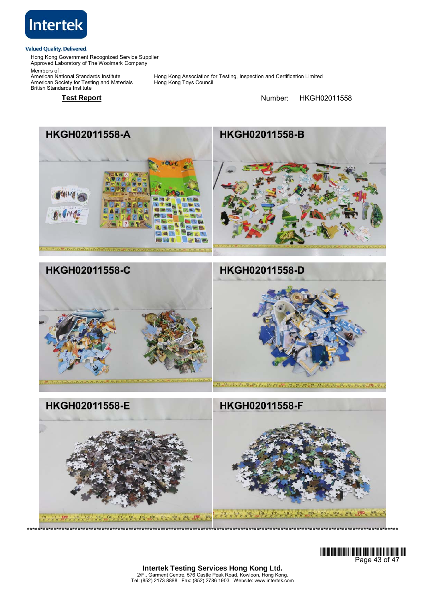

Hong Kong Government Recognized Service Supplier Approved Laboratory of The Woolmark Company

Members of : Members or .<br>American National Standards Institute<br>American Society for Testing and Materials British Standards Institute

Hong Kong Association for Testing, Inspection and Certification Limited<br>Hong Kong Toys Council

**Test Report Number:** HKGH02011558









**Intertek Testing Services Hong Kong Ltd.** 2/F., Garment Centre, 576 Castle Peak Road, Kowloon, Hong Kong. Tel: (852) 2173 8888 Fax: (852) 2786 1903 Website: www.intertek.com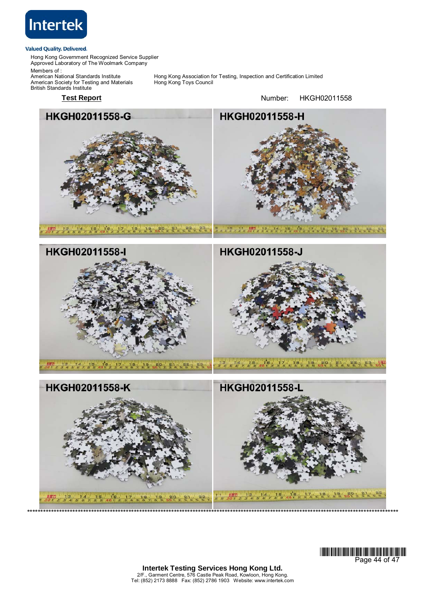

Hong Kong Government Recognized Service Supplier Approved Laboratory of The Woolmark Company

Members of : American National Standards Institute<br>American Society for Testing and Materials British Standards Institute

Hong Kong Association for Testing, Inspection and Certification Limited<br>Hong Kong Toys Council

HKGH02011558-G HKGH02011558-H 17 13 14, 15 16, 15 17 18, 19 18, 19 20, 20 20 20  $458789$ 14 15 16 17 18 19 50 50 5 6 6 7 8 HKGH02011558-I HKGH02011558-J  $\frac{15}{8}$ ,  $\frac{16}{9}$ ,  $\frac{17}{40}$ ,  $\frac{17}{2}$ ,  $\frac{18}{3}$ ,  $\frac{18}{6}$ ,  $\frac{19}{7}$ ,  $\frac{20}{9}$ ,  $\frac{21}{50}$ ,  $\frac{22}{3}$ ,  $\frac{23}{8}$ ,  $\frac{23}{8}$  $\frac{1}{3}$ 

Test Report **Number:** HKGH02011558





**Intertek Testing Services Hong Kong Ltd.** 2/F., Garment Centre, 576 Castle Peak Road, Kowloon, Hong Kong. Tel: (852) 2173 8888 Fax: (852) 2786 1903 Website: www.intertek.com

\*\*\*\*\*\*\*\*\*\*\*\*\*\*\*\*\*\*\*\*\*\*\*\*\*\*\*\*\*\*\*\*\*\*\*\*\*\*\*\*\*\*\*\*\*\*\*\*\*\*\*\*\*\*\*\*\*\*\*\*\*\*\*\*\*\*\*\*\*\*\*\*\*\*\*\*\*\*\*\*\*\*\*\*\*\*\*\*\*\*\*\*\*\*\*\*\*\*\*\*\*\*\*\*\*\*\*\*\*\*\*\*\*\*\*\*\*\*\*\*\*\*\*\*\*\*\*\*\*\*\*\*\*\*\*\*\*\*\*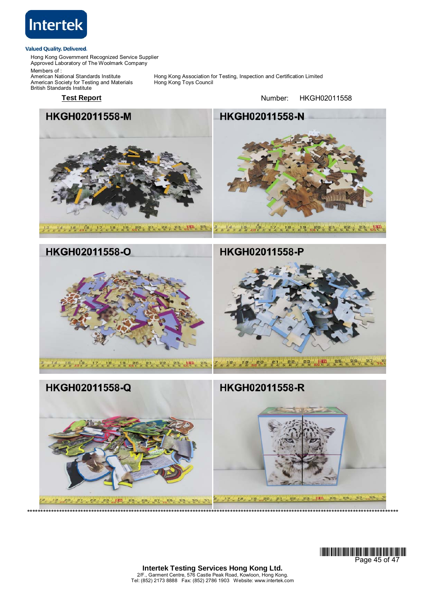

 $18.80$ 

21 22 23 21

 $P = \frac{1}{2}$   $P = \frac{1}{2}$   $P = \frac{1}{2}$   $P = \frac{1}{2}$ 

Hong Kong Government Recognized Service Supplier Approved Laboratory of The Woolmark Company

Members of : American National Standards Institute<br>American Society for Testing and Materials British Standards Institute

Hong Kong Association for Testing, Inspection and Certification Limited<br>Hong Kong Toys Council

**Test Report Number:** HKGH02011558

HKGH02011558-M HKGH02011558-N  $\frac{1}{6}$   $\frac{4}{7}$   $\frac{15}{8}$   $\frac{15}{9}$   $\frac{16}{40}$   $\frac{1}{7}$   $\frac{1}{2}$   $\frac{19}{3}$   $\frac{19}{4}$   $\frac{19}{5}$   $\frac{19}{9}$   $\frac{20}{9}$   $\frac{21}{3}$   $\frac{1}{4}$   $\frac{1}{5}$   $\frac{2}{3}$   $\frac{1}{4}$   $\frac{1}{5}$   $\frac{23}{6}$   $\frac{1}{7}$   $\frac{23}{8}$ 12 18 18 18 20 21 21 28 12 23 24  $50<sup>2</sup>$ HKGH02011558-O HKGH02011558-P 78 7 8 8 8 9 2 3 4 5 6 7 8 9 60 1 2 3 4 5  $rac{6}{56}$  $27$  $\frac{1}{56}$ HKGH02011558-Q HKGH02011558-R



 $\frac{1}{5B}$ 

 $25.26$   $27.$ 

 $23 - 10$ 

**18 80 81 82** 

**Intertek Testing Services Hong Kong Ltd.** 2/F., Garment Centre, 576 Castle Peak Road, Kowloon, Hong Kong. Tel: (852) 2173 8888 Fax: (852) 2786 1903 Website: www.intertek.com

\*\*\*\*\*\*\*\*\*\*\*\*\*\*\*\*\*\*\*\*\*\*\*\*\*\*\*\*\*\*\*\*\*\*\*\*\*\*\*\*\*\*\*\*\*\*\*\*\*\*\*\*\*\*\*\*\*\*\*\*\*\*\*\*\*\*\*\*\*\*\*\*\*\*\*\*\*\*\*\*\*\*\*\*\*\*\*\*\*\*\*\*\*\*\*\*\*\*\*\*\*\*\*\*\*\*\*\*\*\*\*\*\*\*\*\*\*\*\*\*\*\*\*\*\*\*\*\*\*\*\*\*\*\*\*\*\*\*\*

 $\frac{1}{30}$  $58$ 

 $1B$ 

 $1/2$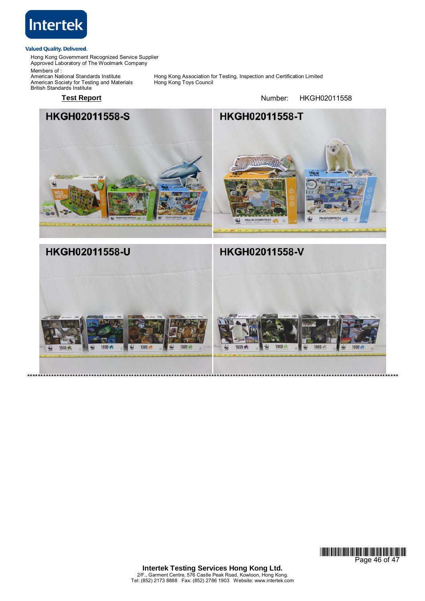

Hong Kong Government Recognized Service Supplier Approved Laboratory of The Woolmark Company

Members of : American Society for Testing and Materials Hong Kong Toys Council British Standards Institute

Hong Kong Association for Testing, Inspection and Certification Limited<br>Hong Kong Toys Council

Test Report **Number:** HKGH02011558



\*\*\*\*\*\*\*\*\*\*\*\*\*\*\*\*\*\*\*\*\*\*\*\*\*\*\*\*\*\*\*\*\*\*\*\*\*\*\*\*\*\*\*\*\*\*\*\*\*\*\*\*\*\*\*\*\*\*\*\*\*\*\*\*\*\*\*\*\*\*\*\*\*\*\*\*\*\*\*\*\*\*\*\*\*\*\*\*\*\*\*\*\*\*\*\*\*\*\*\*\*\*\*\*\*\*\*\*\*\*\*\*\*\*\*\*\*\*\*\*\*\*\*\*\*\*\*\*\*\*\*\*\*\*\*\*\*\*\*